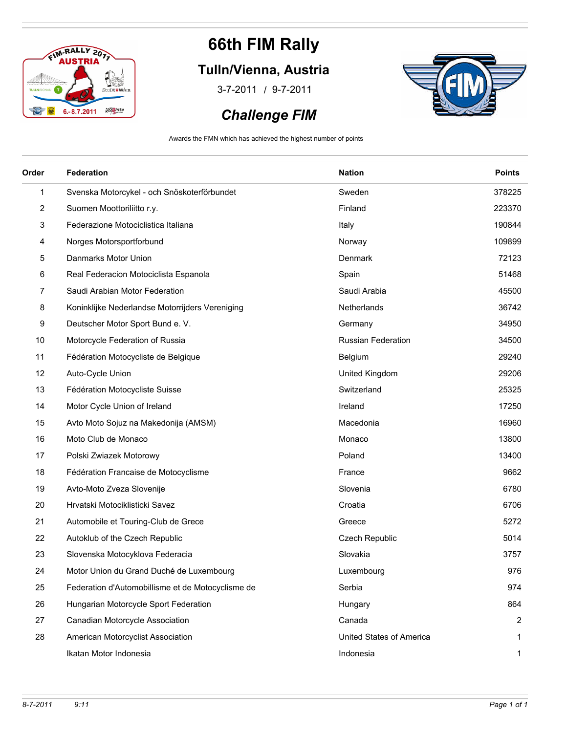

### **Tulln/Vienna, Austria**

/ 3-7-2011 9-7-2011

#### *Challenge FIM*



Awards the FMN which has achieved the highest number of points

| Order | Federation                                        | <b>Nation</b>            | <b>Points</b> |
|-------|---------------------------------------------------|--------------------------|---------------|
| 1     | Svenska Motorcykel - och Snöskoterförbundet       | Sweden                   | 378225        |
| 2     | Suomen Moottoriliitto r.y.                        | Finland                  | 223370        |
| 3     | Federazione Motociclistica Italiana               | Italy                    | 190844        |
| 4     | Norges Motorsportforbund                          | Norway                   | 109899        |
| 5     | Danmarks Motor Union                              | Denmark                  | 72123         |
| 6     | Real Federacion Motociclista Espanola             | Spain                    | 51468         |
| 7     | Saudi Arabian Motor Federation                    | Saudi Arabia             | 45500         |
| 8     | Koninklijke Nederlandse Motorrijders Vereniging   | Netherlands              | 36742         |
| 9     | Deutscher Motor Sport Bund e. V.                  | Germany                  | 34950         |
| 10    | Motorcycle Federation of Russia                   | Russian Federation       | 34500         |
| 11    | Fédération Motocycliste de Belgique               | Belgium                  | 29240         |
| 12    | Auto-Cycle Union                                  | United Kingdom           | 29206         |
| 13    | Fédération Motocycliste Suisse                    | Switzerland              | 25325         |
| 14    | Motor Cycle Union of Ireland                      | Ireland                  | 17250         |
| 15    | Avto Moto Sojuz na Makedonija (AMSM)              | Macedonia                | 16960         |
| 16    | Moto Club de Monaco                               | Monaco                   | 13800         |
| 17    | Polski Zwiazek Motorowy                           | Poland                   | 13400         |
| 18    | Fédération Francaise de Motocyclisme              | France                   | 9662          |
| 19    | Avto-Moto Zveza Slovenije                         | Slovenia                 | 6780          |
| 20    | Hrvatski Motociklisticki Savez                    | Croatia                  | 6706          |
| 21    | Automobile et Touring-Club de Grece               | Greece                   | 5272          |
| 22    | Autoklub of the Czech Republic                    | Czech Republic           | 5014          |
| 23    | Slovenska Motocyklova Federacia                   | Slovakia                 | 3757          |
| 24    | Motor Union du Grand Duché de Luxembourg          | Luxembourg               | 976           |
| 25    | Federation d'Automobillisme et de Motocyclisme de | Serbia                   | 974           |
| 26    | Hungarian Motorcycle Sport Federation             | Hungary                  | 864           |
| 27    | Canadian Motorcycle Association                   | Canada                   | 2             |
| 28    | American Motorcyclist Association                 | United States of America |               |
|       | Ikatan Motor Indonesia                            | Indonesia                | 1             |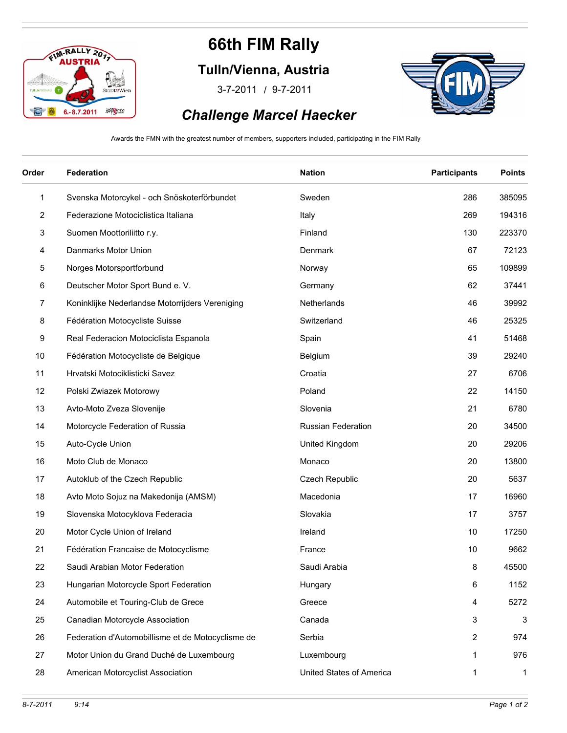

**Tulln/Vienna, Austria**

/ 3-7-2011 9-7-2011



#### *Challenge Marcel Haecker*

Awards the FMN with the greatest number of members, supporters included, participating in the FIM Rally

| Order          | Federation                                        | <b>Nation</b>             | <b>Participants</b> | <b>Points</b> |
|----------------|---------------------------------------------------|---------------------------|---------------------|---------------|
| $\mathbf{1}$   | Svenska Motorcykel - och Snöskoterförbundet       | Sweden                    | 286                 | 385095        |
| $\overline{c}$ | Federazione Motociclistica Italiana               | Italy                     | 269                 | 194316        |
| 3              | Suomen Moottoriliitto r.y.                        | Finland                   | 130                 | 223370        |
| 4              | Danmarks Motor Union                              | Denmark                   | 67                  | 72123         |
| 5              | Norges Motorsportforbund                          | Norway                    | 65                  | 109899        |
| 6              | Deutscher Motor Sport Bund e. V.                  | Germany                   | 62                  | 37441         |
| 7              | Koninklijke Nederlandse Motorrijders Vereniging   | Netherlands               | 46                  | 39992         |
| 8              | Fédération Motocycliste Suisse                    | Switzerland               | 46                  | 25325         |
| 9              | Real Federacion Motociclista Espanola             | Spain                     | 41                  | 51468         |
| 10             | Fédération Motocycliste de Belgique               | Belgium                   | 39                  | 29240         |
| 11             | Hrvatski Motociklisticki Savez                    | Croatia                   | 27                  | 6706          |
| 12             | Polski Zwiazek Motorowy                           | Poland                    | 22                  | 14150         |
| 13             | Avto-Moto Zveza Slovenije                         | Slovenia                  | 21                  | 6780          |
| 14             | Motorcycle Federation of Russia                   | <b>Russian Federation</b> | 20                  | 34500         |
| 15             | Auto-Cycle Union                                  | United Kingdom            | 20                  | 29206         |
| 16             | Moto Club de Monaco                               | Monaco                    | 20                  | 13800         |
| 17             | Autoklub of the Czech Republic                    | Czech Republic            | 20                  | 5637          |
| 18             | Avto Moto Sojuz na Makedonija (AMSM)              | Macedonia                 | 17                  | 16960         |
| 19             | Slovenska Motocyklova Federacia                   | Slovakia                  | 17                  | 3757          |
| 20             | Motor Cycle Union of Ireland                      | Ireland                   | 10                  | 17250         |
| 21             | Fédération Francaise de Motocyclisme              | France                    | 10                  | 9662          |
| 22             | Saudi Arabian Motor Federation                    | Saudi Arabia              | 8                   | 45500         |
| 23             | Hungarian Motorcycle Sport Federation             | Hungary                   | 6                   | 1152          |
| 24             | Automobile et Touring-Club de Grece               | Greece                    | 4                   | 5272          |
| 25             | Canadian Motorcycle Association                   | Canada                    | 3                   | 3             |
| 26             | Federation d'Automobillisme et de Motocyclisme de | Serbia                    | $\overline{2}$      | 974           |
| 27             | Motor Union du Grand Duché de Luxembourg          | Luxembourg                | 1                   | 976           |
| 28             | American Motorcyclist Association                 | United States of America  | $\mathbf 1$         | $\mathbf{1}$  |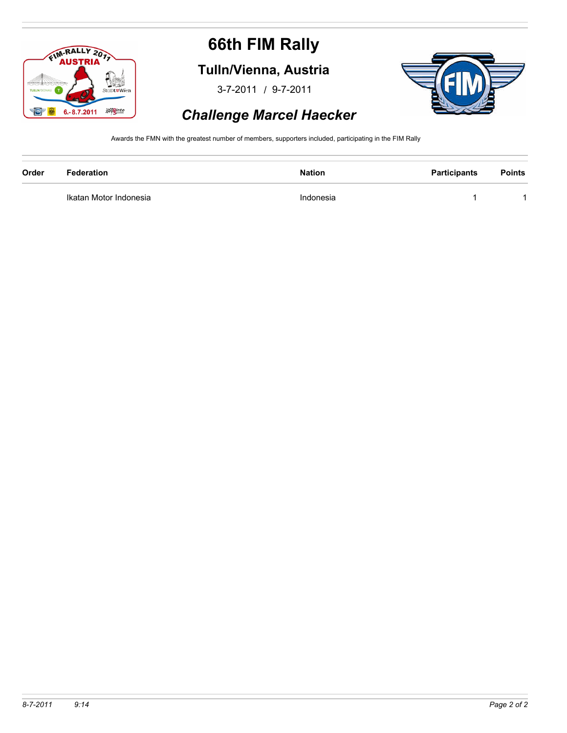

**Tulln/Vienna, Austria**

/ 3-7-2011 9-7-2011



#### *Challenge Marcel Haecker*

Awards the FMN with the greatest number of members, supporters included, participating in the FIM Rally

| Order | Federation             | <b>Nation</b> | <b>Participants</b> | <b>Points</b> |
|-------|------------------------|---------------|---------------------|---------------|
|       | Ikatan Motor Indonesia | Indonesia     |                     |               |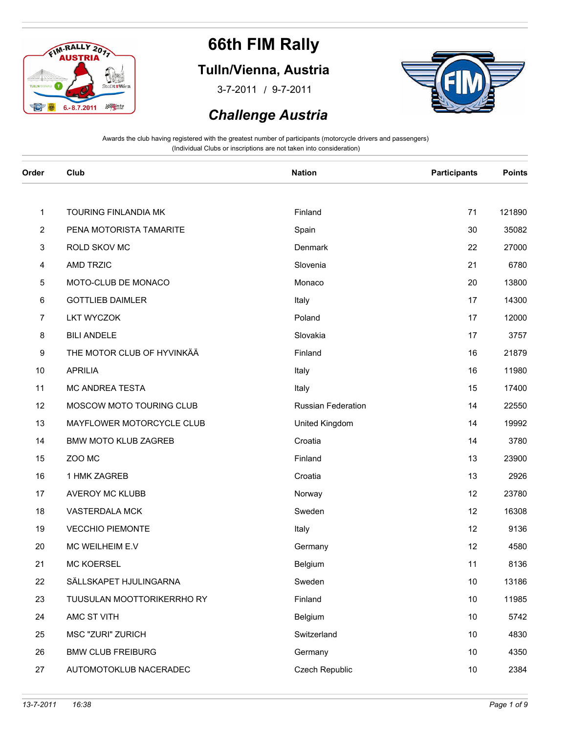

### **Tulln/Vienna, Austria**

/ 3-7-2011 9-7-2011



#### *Challenge Austria*

| Order                   | Club                        | <b>Nation</b>      | <b>Participants</b> | <b>Points</b> |
|-------------------------|-----------------------------|--------------------|---------------------|---------------|
|                         |                             |                    |                     |               |
| $\mathbf{1}$            | TOURING FINLANDIA MK        | Finland            | 71                  | 121890        |
| $\overline{\mathbf{c}}$ | PENA MOTORISTA TAMARITE     | Spain              | 30                  | 35082         |
| 3                       | ROLD SKOV MC                | Denmark            | 22                  | 27000         |
| 4                       | AMD TRZIC                   | Slovenia           | 21                  | 6780          |
| 5                       | MOTO-CLUB DE MONACO         | Monaco             | 20                  | 13800         |
| 6                       | <b>GOTTLIEB DAIMLER</b>     | Italy              | 17                  | 14300         |
| 7                       | <b>LKT WYCZOK</b>           | Poland             | 17                  | 12000         |
| 8                       | <b>BILI ANDELE</b>          | Slovakia           | 17                  | 3757          |
| 9                       | THE MOTOR CLUB OF HYVINKÄÄ  | Finland            | 16                  | 21879         |
| 10                      | <b>APRILIA</b>              | Italy              | 16                  | 11980         |
| 11                      | MC ANDREA TESTA             | Italy              | 15                  | 17400         |
| 12                      | MOSCOW MOTO TOURING CLUB    | Russian Federation | 14                  | 22550         |
| 13                      | MAYFLOWER MOTORCYCLE CLUB   | United Kingdom     | 14                  | 19992         |
| 14                      | <b>BMW MOTO KLUB ZAGREB</b> | Croatia            | 14                  | 3780          |
| 15                      | ZOO MC                      | Finland            | 13                  | 23900         |
| 16                      | 1 HMK ZAGREB                | Croatia            | 13                  | 2926          |
| 17                      | AVEROY MC KLUBB             | Norway             | 12                  | 23780         |
| 18                      | VASTERDALA MCK              | Sweden             | 12                  | 16308         |
| 19                      | <b>VECCHIO PIEMONTE</b>     | Italy              | 12                  | 9136          |
| 20                      | MC WEILHEIM E.V             | Germany            | 12                  | 4580          |
| 21                      | MC KOERSEL                  | Belgium            | 11                  | 8136          |
| 22                      | SÄLLSKAPET HJULINGARNA      | Sweden             | $10$                | 13186         |
| 23                      | TUUSULAN MOOTTORIKERRHO RY  | Finland            | 10                  | 11985         |
| 24                      | AMC ST VITH                 | Belgium            | 10                  | 5742          |
| 25                      | MSC "ZURI" ZURICH           | Switzerland        | 10                  | 4830          |
| 26                      | <b>BMW CLUB FREIBURG</b>    | Germany            | 10                  | 4350          |
| 27                      | AUTOMOTOKLUB NACERADEC      | Czech Republic     | 10                  | 2384          |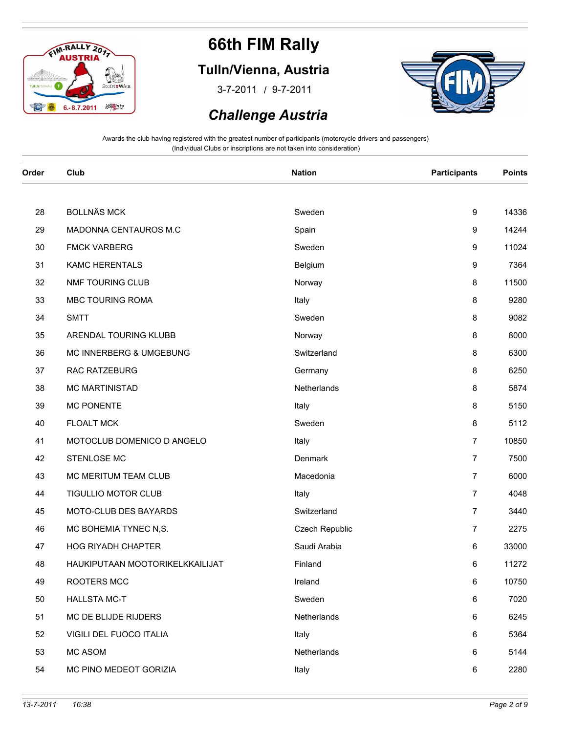

### **Tulln/Vienna, Austria**

/ 3-7-2011 9-7-2011



#### *Challenge Austria*

| Order | Club                            | <b>Nation</b>  | <b>Participants</b> | <b>Points</b> |
|-------|---------------------------------|----------------|---------------------|---------------|
|       |                                 |                |                     |               |
| 28    | <b>BOLLNÄS MCK</b>              | Sweden         | 9                   | 14336         |
| 29    | MADONNA CENTAUROS M.C           | Spain          | 9                   | 14244         |
| 30    | <b>FMCK VARBERG</b>             | Sweden         | 9                   | 11024         |
| 31    | <b>KAMC HERENTALS</b>           | Belgium        | 9                   | 7364          |
| 32    | NMF TOURING CLUB                | Norway         | 8                   | 11500         |
| 33    | MBC TOURING ROMA                | Italy          | 8                   | 9280          |
| 34    | <b>SMTT</b>                     | Sweden         | 8                   | 9082          |
| 35    | ARENDAL TOURING KLUBB           | Norway         | 8                   | 8000          |
| 36    | MC INNERBERG & UMGEBUNG         | Switzerland    | 8                   | 6300          |
| 37    | RAC RATZEBURG                   | Germany        | 8                   | 6250          |
| 38    | MC MARTINISTAD                  | Netherlands    | 8                   | 5874          |
| 39    | <b>MC PONENTE</b>               | Italy          | 8                   | 5150          |
| 40    | <b>FLOALT MCK</b>               | Sweden         | 8                   | 5112          |
| 41    | MOTOCLUB DOMENICO D ANGELO      | Italy          | $\overline{7}$      | 10850         |
| 42    | STENLOSE MC                     | Denmark        | $\overline{7}$      | 7500          |
| 43    | MC MERITUM TEAM CLUB            | Macedonia      | $\overline{7}$      | 6000          |
| 44    | TIGULLIO MOTOR CLUB             | Italy          | $\overline{7}$      | 4048          |
| 45    | MOTO-CLUB DES BAYARDS           | Switzerland    | $\overline{7}$      | 3440          |
| 46    | MC BOHEMIA TYNEC N,S.           | Czech Republic | $\overline{7}$      | 2275          |
| 47    | <b>HOG RIYADH CHAPTER</b>       | Saudi Arabia   | 6                   | 33000         |
| 48    | HAUKIPUTAAN MOOTORIKELKKAILIJAT | Finland        | 6                   | 11272         |
| 49    | ROOTERS MCC                     | Ireland        | 6                   | 10750         |
| 50    | <b>HALLSTA MC-T</b>             | Sweden         | 6                   | 7020          |
| 51    | MC DE BLIJDE RIJDERS            | Netherlands    | 6                   | 6245          |
| 52    | VIGILI DEL FUOCO ITALIA         | Italy          | 6                   | 5364          |
| 53    | MC ASOM                         | Netherlands    | 6                   | 5144          |
| 54    | MC PINO MEDEOT GORIZIA          | Italy          | 6                   | 2280          |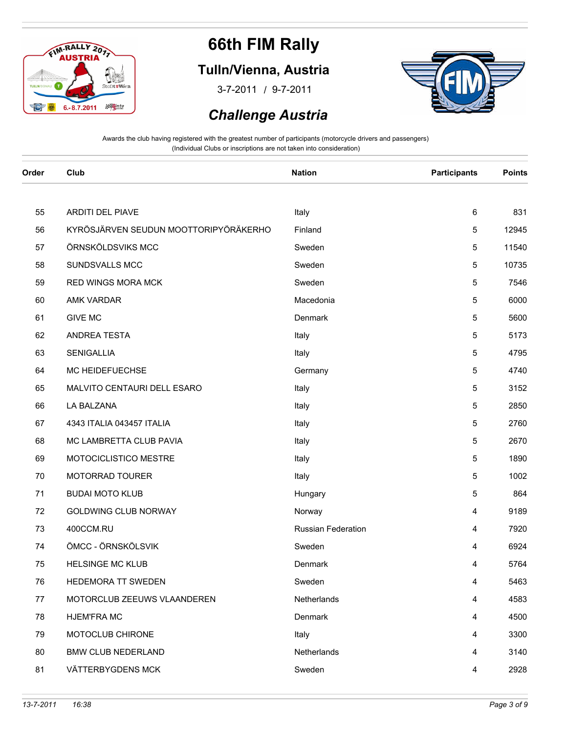

### **Tulln/Vienna, Austria**

/ 3-7-2011 9-7-2011



 *Challenge Austria*

| Order | Club                                  | <b>Nation</b>      | <b>Participants</b> | <b>Points</b> |
|-------|---------------------------------------|--------------------|---------------------|---------------|
|       |                                       |                    |                     |               |
| 55    | <b>ARDITI DEL PIAVE</b>               | Italy              | 6                   | 831           |
| 56    | KYRÖSJÄRVEN SEUDUN MOOTTORIPYÖRÄKERHO | Finland            | 5                   | 12945         |
| 57    | ÖRNSKÖLDSVIKS MCC                     | Sweden             | 5                   | 11540         |
| 58    | SUNDSVALLS MCC                        | Sweden             | 5                   | 10735         |
| 59    | <b>RED WINGS MORA MCK</b>             | Sweden             | 5                   | 7546          |
| 60    | AMK VARDAR                            | Macedonia          | 5                   | 6000          |
| 61    | <b>GIVE MC</b>                        | Denmark            | 5                   | 5600          |
| 62    | ANDREA TESTA                          | Italy              | 5                   | 5173          |
| 63    | SENIGALLIA                            | Italy              | 5                   | 4795          |
| 64    | MC HEIDEFUECHSE                       | Germany            | 5                   | 4740          |
| 65    | MALVITO CENTAURI DELL ESARO           | Italy              | 5                   | 3152          |
| 66    | LA BALZANA                            | Italy              | 5                   | 2850          |
| 67    | 4343 ITALIA 043457 ITALIA             | Italy              | 5                   | 2760          |
| 68    | MC LAMBRETTA CLUB PAVIA               | Italy              | 5                   | 2670          |
| 69    | MOTOCICLISTICO MESTRE                 | Italy              | 5                   | 1890          |
| 70    | MOTORRAD TOURER                       | Italy              | 5                   | 1002          |
| 71    | <b>BUDAI MOTO KLUB</b>                | Hungary            | 5                   | 864           |
| 72    | GOLDWING CLUB NORWAY                  | Norway             | 4                   | 9189          |
| 73    | 400CCM.RU                             | Russian Federation | 4                   | 7920          |
| 74    | ÖMCC - ÖRNSKÖLSVIK                    | Sweden             | 4                   | 6924          |
| 75    | <b>HELSINGE MC KLUB</b>               | Denmark            | 4                   | 5764          |
| 76    | HEDEMORA TT SWEDEN                    | Sweden             | 4                   | 5463          |
| 77    | MOTORCLUB ZEEUWS VLAANDEREN           | Netherlands        | 4                   | 4583          |
| 78    | <b>HJEM'FRA MC</b>                    | Denmark            | 4                   | 4500          |
| 79    | MOTOCLUB CHIRONE                      | Italy              | 4                   | 3300          |
| 80    | <b>BMW CLUB NEDERLAND</b>             | Netherlands        | 4                   | 3140          |
| 81    | VÄTTERBYGDENS MCK                     | Sweden             | 4                   | 2928          |
|       |                                       |                    |                     |               |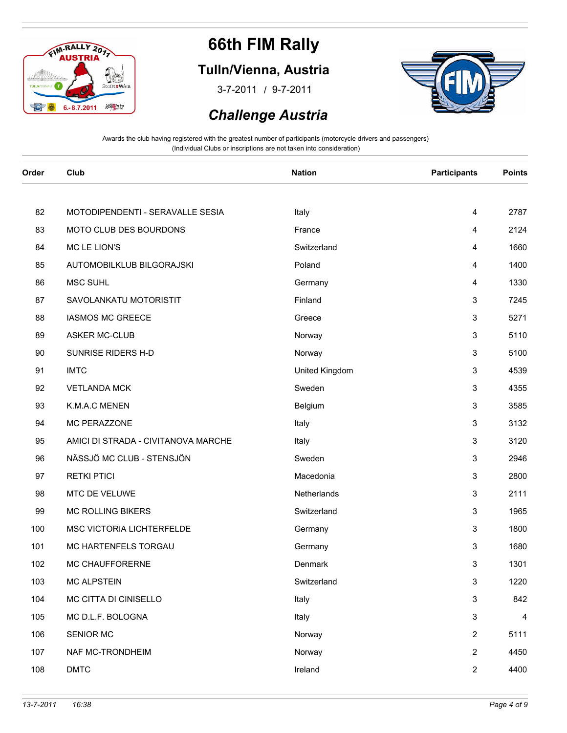

### **Tulln/Vienna, Austria**

/ 3-7-2011 9-7-2011



#### *Challenge Austria*

| 82<br>MOTODIPENDENTI - SERAVALLE SESIA<br>Italy<br>4<br>MOTO CLUB DES BOURDONS<br>France<br>83<br>4<br>MC LE LION'S<br>Switzerland<br>84<br>4<br>AUTOMOBILKLUB BILGORAJSKI<br>Poland<br>85<br>4<br>86<br><b>MSC SUHL</b><br>Germany<br>4<br>3<br>87<br>SAVOLANKATU MOTORISTIT<br>Finland<br><b>IASMOS MC GREECE</b><br>3<br>88<br>Greece<br><b>ASKER MC-CLUB</b><br>3<br>89<br>Norway<br>SUNRISE RIDERS H-D<br>3<br>90<br>Norway<br><b>IMTC</b><br>United Kingdom<br>3<br>91<br>3<br>92<br><b>VETLANDA MCK</b><br>Sweden<br>93<br>K.M.A.C MENEN<br>3<br>Belgium<br>MC PERAZZONE<br>3<br>94<br>Italy<br>AMICI DI STRADA - CIVITANOVA MARCHE<br>3<br>95<br>Italy<br>NÄSSJÖ MC CLUB - STENSJÖN<br>Sweden<br>3<br>96<br><b>RETKI PTICI</b><br>Macedonia<br>3<br>97<br>MTC DE VELUWE<br>3<br>98<br>Netherlands<br><b>MC ROLLING BIKERS</b><br>3<br>99<br>Switzerland<br>MSC VICTORIA LICHTERFELDE<br>3<br>100<br>Germany<br>MC HARTENFELS TORGAU<br>3<br>101<br>Germany<br>MC CHAUFFORERNE<br>3<br>102<br>Denmark<br><b>MC ALPSTEIN</b><br>Switzerland<br>3<br>103<br>MC CITTA DI CINISELLO<br>3<br>104<br>Italy<br>MC D.L.F. BOLOGNA<br>3<br>105<br>Italy<br>SENIOR MC<br>Norway<br>$\overline{2}$<br>106<br>NAF MC-TRONDHEIM<br>Norway<br>$\overline{2}$<br>107<br><b>DMTC</b><br>Ireland<br>$\overline{2}$<br>108 | Order | Club | <b>Nation</b> | <b>Participants</b> | <b>Points</b> |
|-----------------------------------------------------------------------------------------------------------------------------------------------------------------------------------------------------------------------------------------------------------------------------------------------------------------------------------------------------------------------------------------------------------------------------------------------------------------------------------------------------------------------------------------------------------------------------------------------------------------------------------------------------------------------------------------------------------------------------------------------------------------------------------------------------------------------------------------------------------------------------------------------------------------------------------------------------------------------------------------------------------------------------------------------------------------------------------------------------------------------------------------------------------------------------------------------------------------------------------------------------------------------------------------------------------------|-------|------|---------------|---------------------|---------------|
|                                                                                                                                                                                                                                                                                                                                                                                                                                                                                                                                                                                                                                                                                                                                                                                                                                                                                                                                                                                                                                                                                                                                                                                                                                                                                                                 |       |      |               |                     |               |
|                                                                                                                                                                                                                                                                                                                                                                                                                                                                                                                                                                                                                                                                                                                                                                                                                                                                                                                                                                                                                                                                                                                                                                                                                                                                                                                 |       |      |               |                     | 2787          |
|                                                                                                                                                                                                                                                                                                                                                                                                                                                                                                                                                                                                                                                                                                                                                                                                                                                                                                                                                                                                                                                                                                                                                                                                                                                                                                                 |       |      |               |                     | 2124          |
|                                                                                                                                                                                                                                                                                                                                                                                                                                                                                                                                                                                                                                                                                                                                                                                                                                                                                                                                                                                                                                                                                                                                                                                                                                                                                                                 |       |      |               |                     | 1660          |
|                                                                                                                                                                                                                                                                                                                                                                                                                                                                                                                                                                                                                                                                                                                                                                                                                                                                                                                                                                                                                                                                                                                                                                                                                                                                                                                 |       |      |               |                     | 1400          |
|                                                                                                                                                                                                                                                                                                                                                                                                                                                                                                                                                                                                                                                                                                                                                                                                                                                                                                                                                                                                                                                                                                                                                                                                                                                                                                                 |       |      |               |                     | 1330          |
|                                                                                                                                                                                                                                                                                                                                                                                                                                                                                                                                                                                                                                                                                                                                                                                                                                                                                                                                                                                                                                                                                                                                                                                                                                                                                                                 |       |      |               |                     | 7245          |
|                                                                                                                                                                                                                                                                                                                                                                                                                                                                                                                                                                                                                                                                                                                                                                                                                                                                                                                                                                                                                                                                                                                                                                                                                                                                                                                 |       |      |               |                     | 5271          |
|                                                                                                                                                                                                                                                                                                                                                                                                                                                                                                                                                                                                                                                                                                                                                                                                                                                                                                                                                                                                                                                                                                                                                                                                                                                                                                                 |       |      |               |                     | 5110          |
|                                                                                                                                                                                                                                                                                                                                                                                                                                                                                                                                                                                                                                                                                                                                                                                                                                                                                                                                                                                                                                                                                                                                                                                                                                                                                                                 |       |      |               |                     | 5100          |
|                                                                                                                                                                                                                                                                                                                                                                                                                                                                                                                                                                                                                                                                                                                                                                                                                                                                                                                                                                                                                                                                                                                                                                                                                                                                                                                 |       |      |               |                     | 4539          |
|                                                                                                                                                                                                                                                                                                                                                                                                                                                                                                                                                                                                                                                                                                                                                                                                                                                                                                                                                                                                                                                                                                                                                                                                                                                                                                                 |       |      |               |                     | 4355          |
|                                                                                                                                                                                                                                                                                                                                                                                                                                                                                                                                                                                                                                                                                                                                                                                                                                                                                                                                                                                                                                                                                                                                                                                                                                                                                                                 |       |      |               |                     | 3585          |
|                                                                                                                                                                                                                                                                                                                                                                                                                                                                                                                                                                                                                                                                                                                                                                                                                                                                                                                                                                                                                                                                                                                                                                                                                                                                                                                 |       |      |               |                     | 3132          |
|                                                                                                                                                                                                                                                                                                                                                                                                                                                                                                                                                                                                                                                                                                                                                                                                                                                                                                                                                                                                                                                                                                                                                                                                                                                                                                                 |       |      |               |                     | 3120          |
|                                                                                                                                                                                                                                                                                                                                                                                                                                                                                                                                                                                                                                                                                                                                                                                                                                                                                                                                                                                                                                                                                                                                                                                                                                                                                                                 |       |      |               |                     | 2946          |
|                                                                                                                                                                                                                                                                                                                                                                                                                                                                                                                                                                                                                                                                                                                                                                                                                                                                                                                                                                                                                                                                                                                                                                                                                                                                                                                 |       |      |               |                     | 2800          |
|                                                                                                                                                                                                                                                                                                                                                                                                                                                                                                                                                                                                                                                                                                                                                                                                                                                                                                                                                                                                                                                                                                                                                                                                                                                                                                                 |       |      |               |                     | 2111          |
|                                                                                                                                                                                                                                                                                                                                                                                                                                                                                                                                                                                                                                                                                                                                                                                                                                                                                                                                                                                                                                                                                                                                                                                                                                                                                                                 |       |      |               |                     | 1965          |
|                                                                                                                                                                                                                                                                                                                                                                                                                                                                                                                                                                                                                                                                                                                                                                                                                                                                                                                                                                                                                                                                                                                                                                                                                                                                                                                 |       |      |               |                     | 1800          |
|                                                                                                                                                                                                                                                                                                                                                                                                                                                                                                                                                                                                                                                                                                                                                                                                                                                                                                                                                                                                                                                                                                                                                                                                                                                                                                                 |       |      |               |                     | 1680          |
|                                                                                                                                                                                                                                                                                                                                                                                                                                                                                                                                                                                                                                                                                                                                                                                                                                                                                                                                                                                                                                                                                                                                                                                                                                                                                                                 |       |      |               |                     | 1301          |
|                                                                                                                                                                                                                                                                                                                                                                                                                                                                                                                                                                                                                                                                                                                                                                                                                                                                                                                                                                                                                                                                                                                                                                                                                                                                                                                 |       |      |               |                     | 1220          |
|                                                                                                                                                                                                                                                                                                                                                                                                                                                                                                                                                                                                                                                                                                                                                                                                                                                                                                                                                                                                                                                                                                                                                                                                                                                                                                                 |       |      |               |                     | 842           |
|                                                                                                                                                                                                                                                                                                                                                                                                                                                                                                                                                                                                                                                                                                                                                                                                                                                                                                                                                                                                                                                                                                                                                                                                                                                                                                                 |       |      |               |                     | 4             |
|                                                                                                                                                                                                                                                                                                                                                                                                                                                                                                                                                                                                                                                                                                                                                                                                                                                                                                                                                                                                                                                                                                                                                                                                                                                                                                                 |       |      |               |                     | 5111          |
|                                                                                                                                                                                                                                                                                                                                                                                                                                                                                                                                                                                                                                                                                                                                                                                                                                                                                                                                                                                                                                                                                                                                                                                                                                                                                                                 |       |      |               |                     | 4450          |
|                                                                                                                                                                                                                                                                                                                                                                                                                                                                                                                                                                                                                                                                                                                                                                                                                                                                                                                                                                                                                                                                                                                                                                                                                                                                                                                 |       |      |               |                     | 4400          |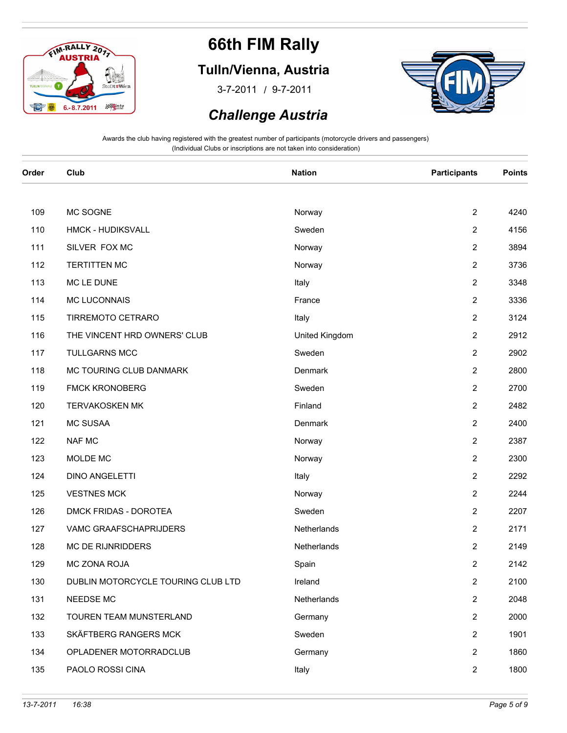

### **Tulln/Vienna, Austria**

/ 3-7-2011 9-7-2011



#### *Challenge Austria*

| Order | Club                               | <b>Nation</b>  | <b>Participants</b> | <b>Points</b> |
|-------|------------------------------------|----------------|---------------------|---------------|
|       |                                    |                |                     |               |
| 109   | MC SOGNE                           | Norway         | $\overline{2}$      | 4240          |
| 110   | <b>HMCK - HUDIKSVALL</b>           | Sweden         | $\overline{2}$      | 4156          |
| 111   | SILVER FOX MC                      | Norway         | $\overline{2}$      | 3894          |
| 112   | <b>TERTITTEN MC</b>                | Norway         | $\overline{2}$      | 3736          |
| 113   | MC LE DUNE                         | Italy          | $\overline{2}$      | 3348          |
| 114   | MC LUCONNAIS                       | France         | $\overline{2}$      | 3336          |
| 115   | TIRREMOTO CETRARO                  | Italy          | $\overline{2}$      | 3124          |
| 116   | THE VINCENT HRD OWNERS' CLUB       | United Kingdom | $\overline{2}$      | 2912          |
| 117   | <b>TULLGARNS MCC</b>               | Sweden         | $\overline{2}$      | 2902          |
| 118   | MC TOURING CLUB DANMARK            | Denmark        | $\overline{2}$      | 2800          |
| 119   | <b>FMCK KRONOBERG</b>              | Sweden         | $\overline{2}$      | 2700          |
| 120   | <b>TERVAKOSKEN MK</b>              | Finland        | 2                   | 2482          |
| 121   | <b>MC SUSAA</b>                    | Denmark        | $\overline{2}$      | 2400          |
| 122   | NAF MC                             | Norway         | $\overline{2}$      | 2387          |
| 123   | MOLDE MC                           | Norway         | $\overline{2}$      | 2300          |
| 124   | <b>DINO ANGELETTI</b>              | Italy          | $\overline{2}$      | 2292          |
| 125   | <b>VESTNES MCK</b>                 | Norway         | $\overline{2}$      | 2244          |
| 126   | DMCK FRIDAS - DOROTEA              | Sweden         | 2                   | 2207          |
| 127   | VAMC GRAAFSCHAPRIJDERS             | Netherlands    | $\overline{c}$      | 2171          |
| 128   | MC DE RIJNRIDDERS                  | Netherlands    | $\overline{2}$      | 2149          |
| 129   | MC ZONA ROJA                       | Spain          | $\overline{2}$      | 2142          |
| 130   | DUBLIN MOTORCYCLE TOURING CLUB LTD | Ireland        | $\overline{2}$      | 2100          |
| 131   | NEEDSE MC                          | Netherlands    | $\overline{2}$      | 2048          |
| 132   | TOUREN TEAM MUNSTERLAND            | Germany        | 2                   | 2000          |
| 133   | SKÄFTBERG RANGERS MCK              | Sweden         | $\overline{c}$      | 1901          |
| 134   | OPLADENER MOTORRADCLUB             | Germany        | $\overline{2}$      | 1860          |
| 135   | PAOLO ROSSI CINA                   | Italy          | $\overline{2}$      | 1800          |
|       |                                    |                |                     |               |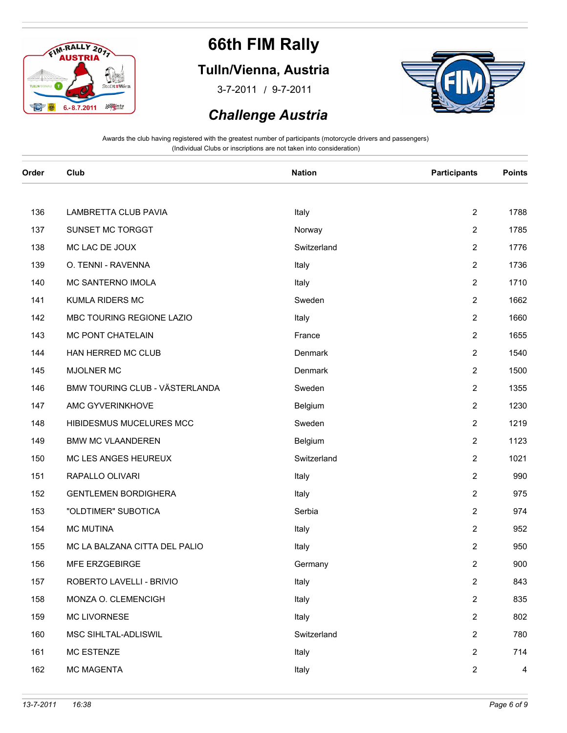

### **Tulln/Vienna, Austria**

/ 3-7-2011 9-7-2011



#### *Challenge Austria*

| Order | Club                           | <b>Nation</b> | <b>Participants</b> | <b>Points</b>  |
|-------|--------------------------------|---------------|---------------------|----------------|
|       |                                |               |                     |                |
| 136   | LAMBRETTA CLUB PAVIA           | Italy         | $\overline{2}$      | 1788           |
| 137   | SUNSET MC TORGGT               | Norway        | $\overline{2}$      | 1785           |
| 138   | MC LAC DE JOUX                 | Switzerland   | $\overline{2}$      | 1776           |
| 139   | O. TENNI - RAVENNA             | Italy         | $\overline{2}$      | 1736           |
| 140   | MC SANTERNO IMOLA              | Italy         | $\overline{c}$      | 1710           |
| 141   | KUMLA RIDERS MC                | Sweden        | $\overline{2}$      | 1662           |
| 142   | MBC TOURING REGIONE LAZIO      | Italy         | $\overline{2}$      | 1660           |
| 143   | MC PONT CHATELAIN              | France        | $\overline{2}$      | 1655           |
| 144   | HAN HERRED MC CLUB             | Denmark       | $\overline{2}$      | 1540           |
| 145   | MJOLNER MC                     | Denmark       | $\overline{2}$      | 1500           |
| 146   | BMW TOURING CLUB - VÄSTERLANDA | Sweden        | $\overline{2}$      | 1355           |
| 147   | AMC GYVERINKHOVE               | Belgium       | $\overline{c}$      | 1230           |
| 148   | HIBIDESMUS MUCELURES MCC       | Sweden        | $2^{\circ}$         | 1219           |
| 149   | <b>BMW MC VLAANDEREN</b>       | Belgium       | $\overline{2}$      | 1123           |
| 150   | MC LES ANGES HEUREUX           | Switzerland   | $\overline{2}$      | 1021           |
| 151   | RAPALLO OLIVARI                | Italy         | $2^{\circ}$         | 990            |
| 152   | <b>GENTLEMEN BORDIGHERA</b>    | Italy         | $\overline{2}$      | 975            |
| 153   | "OLDTIMER" SUBOTICA            | Serbia        | $\overline{2}$      | 974            |
| 154   | <b>MC MUTINA</b>               | Italy         | $\overline{2}$      | 952            |
| 155   | MC LA BALZANA CITTA DEL PALIO  | Italy         | $\overline{c}$      | 950            |
| 156   | MFE ERZGEBIRGE                 | Germany       | $\overline{2}$      | 900            |
| 157   | ROBERTO LAVELLI - BRIVIO       | Italy         | $\overline{2}$      | 843            |
| 158   | MONZA O. CLEMENCIGH            | Italy         | $\overline{c}$      | 835            |
| 159   | MC LIVORNESE                   | Italy         | $\overline{2}$      | 802            |
| 160   | MSC SIHLTAL-ADLISWIL           | Switzerland   | $\overline{2}$      | 780            |
| 161   | <b>MC ESTENZE</b>              | Italy         | $\overline{2}$      | 714            |
| 162   | MC MAGENTA                     | Italy         | $\overline{2}$      | $\overline{4}$ |
|       |                                |               |                     |                |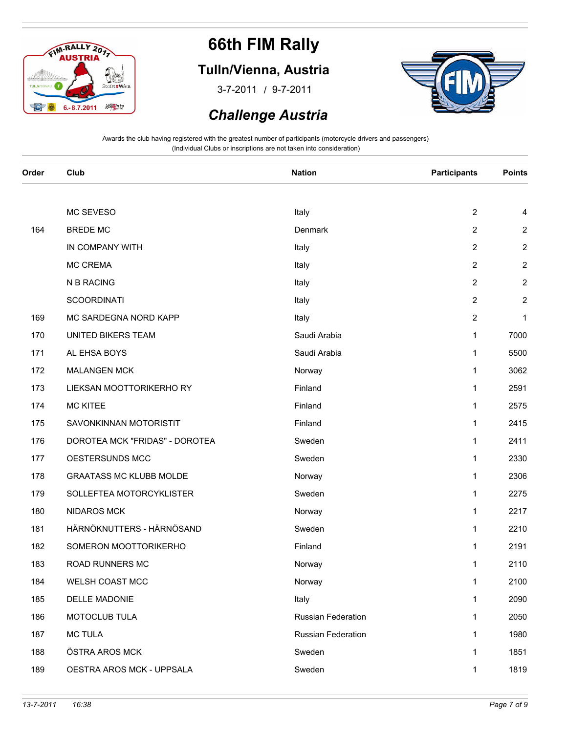

### **Tulln/Vienna, Austria**

/ 3-7-2011 9-7-2011



#### *Challenge Austria*

| Order | Club                           | <b>Nation</b>      | <b>Participants</b> | <b>Points</b>    |
|-------|--------------------------------|--------------------|---------------------|------------------|
|       |                                |                    |                     |                  |
|       | MC SEVESO                      | Italy              | $\overline{2}$      | 4                |
| 164   | <b>BREDE MC</b>                | Denmark            | $\overline{2}$      | $\overline{c}$   |
|       | IN COMPANY WITH                | Italy              | $\overline{2}$      | $\overline{2}$   |
|       | MC CREMA                       | Italy              | $\overline{2}$      | $\boldsymbol{2}$ |
|       | N B RACING                     | Italy              | $\overline{2}$      | $\overline{c}$   |
|       | <b>SCOORDINATI</b>             | Italy              | $\overline{2}$      | $\boldsymbol{2}$ |
| 169   | MC SARDEGNA NORD KAPP          | Italy              | $\overline{2}$      | $\mathbf 1$      |
| 170   | UNITED BIKERS TEAM             | Saudi Arabia       | $\mathbf{1}$        | 7000             |
| 171   | AL EHSA BOYS                   | Saudi Arabia       | $\mathbf{1}$        | 5500             |
| 172   | <b>MALANGEN MCK</b>            | Norway             | $\mathbf{1}$        | 3062             |
| 173   | LIEKSAN MOOTTORIKERHO RY       | Finland            | $\mathbf{1}$        | 2591             |
| 174   | <b>MC KITEE</b>                | Finland            | $\mathbf{1}$        | 2575             |
| 175   | SAVONKINNAN MOTORISTIT         | Finland            | $\mathbf{1}$        | 2415             |
| 176   | DOROTEA MCK "FRIDAS" - DOROTEA | Sweden             | $\mathbf{1}$        | 2411             |
| 177   | OESTERSUNDS MCC                | Sweden             | $\mathbf{1}$        | 2330             |
| 178   | <b>GRAATASS MC KLUBB MOLDE</b> | Norway             | $\mathbf{1}$        | 2306             |
| 179   | SOLLEFTEA MOTORCYKLISTER       | Sweden             | $\mathbf{1}$        | 2275             |
| 180   | <b>NIDAROS MCK</b>             | Norway             | $\mathbf{1}$        | 2217             |
| 181   | HÄRNÖKNUTTERS - HÄRNÖSAND      | Sweden             | $\mathbf{1}$        | 2210             |
| 182   | SOMERON MOOTTORIKERHO          | Finland            | $\mathbf{1}$        | 2191             |
| 183   | ROAD RUNNERS MC                | Norway             | $\mathbf{1}$        | 2110             |
| 184   | WELSH COAST MCC                | Norway             | $\mathbf{1}$        | 2100             |
| 185   | DELLE MADONIE                  | Italy              | $\mathbf{1}$        | 2090             |
| 186   | MOTOCLUB TULA                  | Russian Federation | $\mathbf 1$         | 2050             |
| 187   | <b>MC TULA</b>                 | Russian Federation | $\mathbf{1}$        | 1980             |
| 188   | ÖSTRA AROS MCK                 | Sweden             | $\mathbf{1}$        | 1851             |
| 189   | OESTRA AROS MCK - UPPSALA      | Sweden             | $\mathbf{1}$        | 1819             |
|       |                                |                    |                     |                  |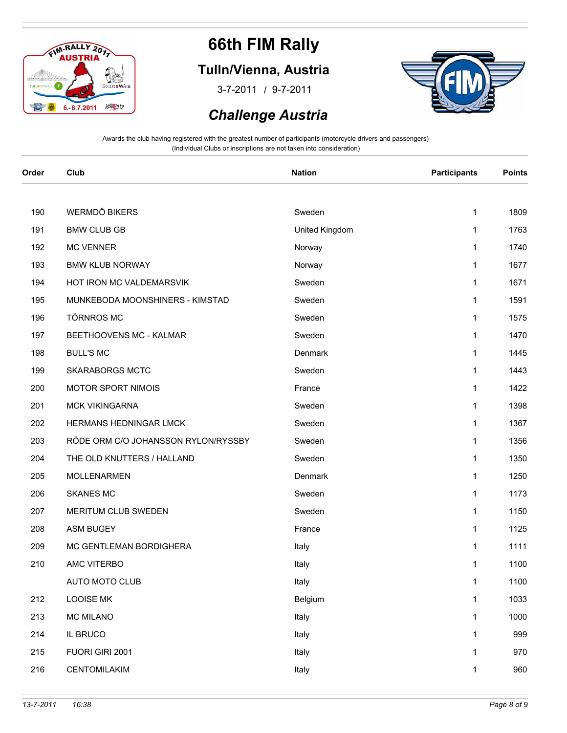

### **Tulln/Vienna, Austria**

/ 3-7-2011 9-7-2011



#### *Challenge Austria*

| Order | Club                                | <b>Nation</b>  | <b>Participants</b> | <b>Points</b> |
|-------|-------------------------------------|----------------|---------------------|---------------|
|       |                                     |                |                     |               |
| 190   | <b>WERMDÖ BIKERS</b>                | Sweden         | $\mathbf{1}$        | 1809          |
| 191   | <b>BMW CLUB GB</b>                  | United Kingdom | $\mathbf{1}$        | 1763          |
| 192   | <b>MC VENNER</b>                    | Norway         | $\mathbf{1}$        | 1740          |
| 193   | <b>BMW KLUB NORWAY</b>              | Norway         | $\mathbf{1}$        | 1677          |
| 194   | HOT IRON MC VALDEMARSVIK            | Sweden         | 1                   | 1671          |
| 195   | MUNKEBODA MOONSHINERS - KIMSTAD     | Sweden         | $\mathbf{1}$        | 1591          |
| 196   | <b>TÖRNROS MC</b>                   | Sweden         | $\mathbf{1}$        | 1575          |
| 197   | BEETHOOVENS MC - KALMAR             | Sweden         | $\mathbf{1}$        | 1470          |
| 198   | <b>BULL'S MC</b>                    | Denmark        | $\mathbf{1}$        | 1445          |
| 199   | <b>SKARABORGS MCTC</b>              | Sweden         | $\mathbf{1}$        | 1443          |
| 200   | MOTOR SPORT NIMOIS                  | France         | 1                   | 1422          |
| 201   | <b>MCK VIKINGARNA</b>               | Sweden         | $\mathbf{1}$        | 1398          |
| 202   | HERMANS HEDNINGAR LMCK              | Sweden         | $\mathbf{1}$        | 1367          |
| 203   | RÖDE ORM C/O JOHANSSON RYLON/RYSSBY | Sweden         | $\mathbf{1}$        | 1356          |
| 204   | THE OLD KNUTTERS / HALLAND          | Sweden         | $\mathbf{1}$        | 1350          |
| 205   | MOLLENARMEN                         | Denmark        | $\mathbf{1}$        | 1250          |
| 206   | <b>SKANES MC</b>                    | Sweden         | 1                   | 1173          |
| 207   | MERITUM CLUB SWEDEN                 | Sweden         | $\mathbf{1}$        | 1150          |
| 208   | <b>ASM BUGEY</b>                    | France         | $\mathbf{1}$        | 1125          |
| 209   | MC GENTLEMAN BORDIGHERA             | Italy          | $\mathbf{1}$        | 1111          |
| 210   | AMC VITERBO                         | Italy          | 1                   | 1100          |
|       | AUTO MOTO CLUB                      | Italy          | $\mathbf{1}$        | 1100          |
| 212   | <b>LOOISE MK</b>                    | Belgium        | 1                   | 1033          |
| 213   | <b>MC MILANO</b>                    | Italy          | $\mathbf{1}$        | 1000          |
| 214   | IL BRUCO                            | Italy          | 1                   | 999           |
| 215   | FUORI GIRI 2001                     | Italy          | 1                   | 970           |
| 216   | CENTOMILAKIM                        | Italy          | $\mathbf{1}$        | 960           |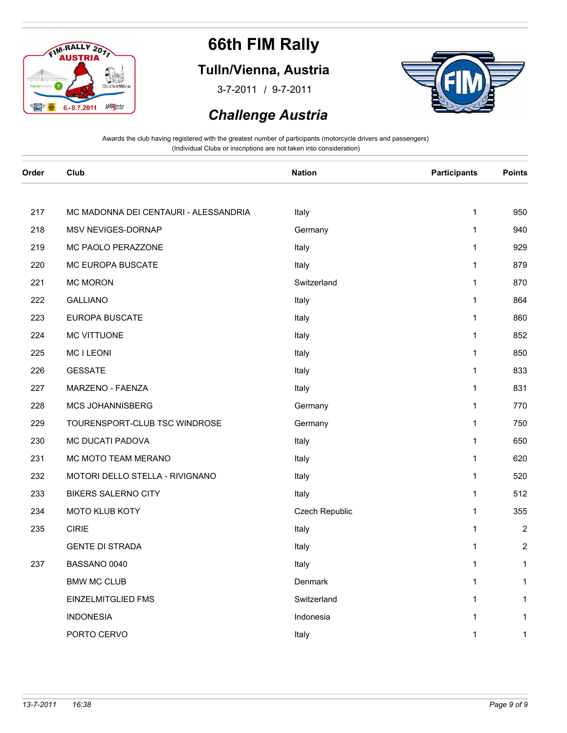

### **Tulln/Vienna, Austria**

/ 3-7-2011 9-7-2011



#### *Challenge Austria*

| Order | Club                                  | <b>Nation</b>  | <b>Participants</b> | <b>Points</b>  |
|-------|---------------------------------------|----------------|---------------------|----------------|
|       |                                       |                |                     |                |
| 217   | MC MADONNA DEI CENTAURI - ALESSANDRIA | Italy          | $\mathbf{1}$        | 950            |
| 218   | MSV NEVIGES-DORNAP                    | Germany        | $\mathbf{1}$        | 940            |
| 219   | MC PAOLO PERAZZONE                    | Italy          | $\mathbf{1}$        | 929            |
| 220   | MC EUROPA BUSCATE                     | Italy          | $\mathbf{1}$        | 879            |
| 221   | <b>MC MORON</b>                       | Switzerland    | $\mathbf{1}$        | 870            |
| 222   | <b>GALLIANO</b>                       | Italy          | $\mathbf{1}$        | 864            |
| 223   | EUROPA BUSCATE                        | Italy          | $\mathbf{1}$        | 860            |
| 224   | MC VITTUONE                           | Italy          | $\mathbf{1}$        | 852            |
| 225   | <b>MCILEONI</b>                       | Italy          | $\mathbf{1}$        | 850            |
| 226   | <b>GESSATE</b>                        | Italy          | $\mathbf{1}$        | 833            |
| 227   | MARZENO - FAENZA                      | Italy          | $\mathbf{1}$        | 831            |
| 228   | MCS JOHANNISBERG                      | Germany        | $\mathbf{1}$        | 770            |
| 229   | TOURENSPORT-CLUB TSC WINDROSE         | Germany        | $\mathbf{1}$        | 750            |
| 230   | MC DUCATI PADOVA                      | Italy          | $\mathbf{1}$        | 650            |
| 231   | MC MOTO TEAM MERANO                   | Italy          | $\mathbf{1}$        | 620            |
| 232   | MOTORI DELLO STELLA - RIVIGNANO       | Italy          | $\mathbf{1}$        | 520            |
| 233   | <b>BIKERS SALERNO CITY</b>            | Italy          | $\mathbf{1}$        | 512            |
| 234   | MOTO KLUB KOTY                        | Czech Republic | $\mathbf{1}$        | 355            |
| 235   | <b>CIRIE</b>                          | Italy          | $\mathbf{1}$        | 2              |
|       | <b>GENTE DI STRADA</b>                | Italy          | $\mathbf{1}$        | $\overline{c}$ |
| 237   | BASSANO 0040                          | Italy          | $\mathbf{1}$        | $\mathbf{1}$   |
|       | <b>BMW MC CLUB</b>                    | Denmark        | $\mathbf{1}$        | $\mathbf{1}$   |
|       | <b>EINZELMITGLIED FMS</b>             | Switzerland    | $\mathbf{1}$        | $\mathbf{1}$   |
|       | <b>INDONESIA</b>                      | Indonesia      | $\mathbf{1}$        | $\mathbf{1}$   |
|       | PORTO CERVO                           | Italy          | $\mathbf{1}$        | $\mathbf{1}$   |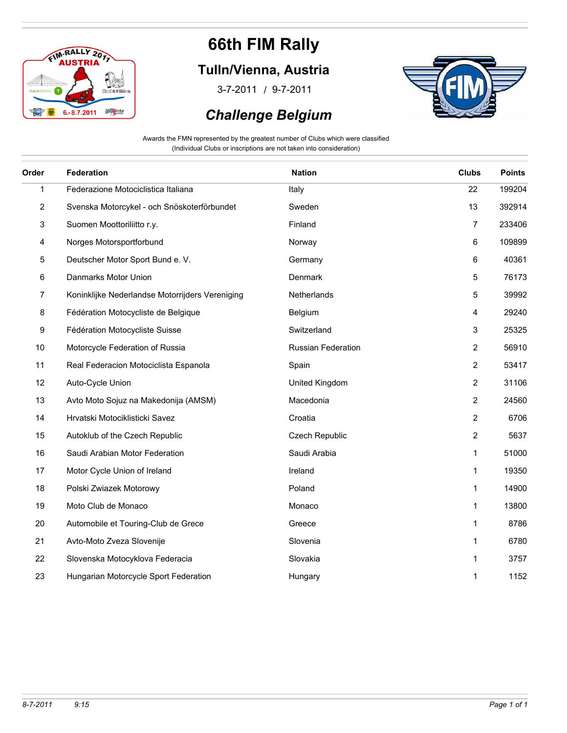

### **Tulln/Vienna, Austria**

/ 3-7-2011 9-7-2011

### *Challenge Belgium*



Awards the FMN represented by the greatest number of Clubs which were classified (Individual Clubs or inscriptions are not taken into consideration)

| Order                   | Federation                                      | <b>Nation</b>      | <b>Clubs</b>   | <b>Points</b> |
|-------------------------|-------------------------------------------------|--------------------|----------------|---------------|
| $\mathbf{1}$            | Federazione Motociclistica Italiana             | Italy              | 22             | 199204        |
| $\overline{\mathbf{c}}$ | Svenska Motorcykel - och Snöskoterförbundet     | Sweden             | 13             | 392914        |
| 3                       | Suomen Moottoriliitto r.y.                      | Finland            | 7              | 233406        |
| 4                       | Norges Motorsportforbund                        | Norway             | 6              | 109899        |
| 5                       | Deutscher Motor Sport Bund e. V.                | Germany            | 6              | 40361         |
| 6                       | Danmarks Motor Union                            | Denmark            | 5              | 76173         |
| 7                       | Koninklijke Nederlandse Motorrijders Vereniging | Netherlands        | 5              | 39992         |
| 8                       | Fédération Motocycliste de Belgique             | Belgium            | 4              | 29240         |
| 9                       | Fédération Motocycliste Suisse                  | Switzerland        | 3              | 25325         |
| 10                      | Motorcycle Federation of Russia                 | Russian Federation | $\overline{2}$ | 56910         |
| 11                      | Real Federacion Motociclista Espanola           | Spain              | $\overline{2}$ | 53417         |
| 12                      | Auto-Cycle Union                                | United Kingdom     | $\overline{2}$ | 31106         |
| 13                      | Avto Moto Sojuz na Makedonija (AMSM)            | Macedonia          | $\overline{2}$ | 24560         |
| 14                      | Hrvatski Motociklisticki Savez                  | Croatia            | $\overline{2}$ | 6706          |
| 15                      | Autoklub of the Czech Republic                  | Czech Republic     | $\overline{2}$ | 5637          |
| 16                      | Saudi Arabian Motor Federation                  | Saudi Arabia       | $\mathbf{1}$   | 51000         |
| 17                      | Motor Cycle Union of Ireland                    | Ireland            | $\mathbf{1}$   | 19350         |
| 18                      | Polski Zwiazek Motorowy                         | Poland             | 1              | 14900         |
| 19                      | Moto Club de Monaco                             | Monaco             | $\mathbf{1}$   | 13800         |
| 20                      | Automobile et Touring-Club de Grece             | Greece             | $\mathbf{1}$   | 8786          |
| 21                      | Avto-Moto Zveza Slovenije                       | Slovenia           | $\mathbf{1}$   | 6780          |
| 22                      | Slovenska Motocyklova Federacia                 | Slovakia           | $\mathbf{1}$   | 3757          |
| 23                      | Hungarian Motorcycle Sport Federation           | Hungary            | 1              | 1152          |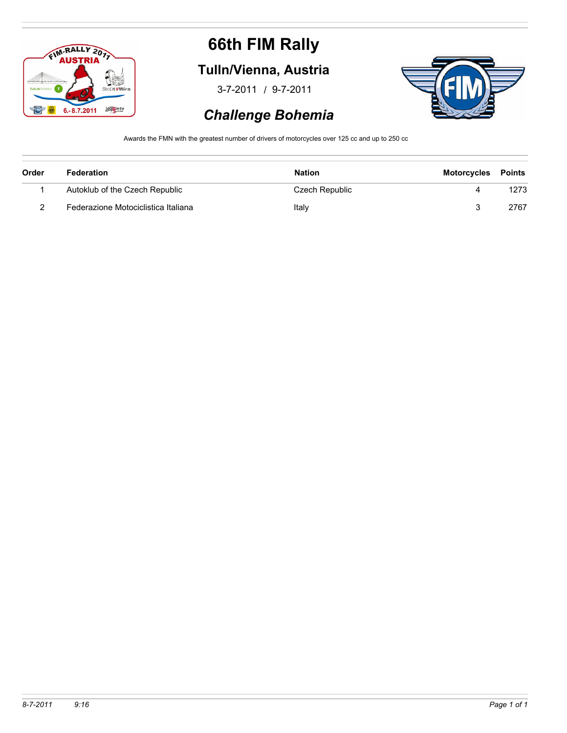

### **Tulln/Vienna, Austria**

/ 3-7-2011 9-7-2011



### *Challenge Bohemia*

Awards the FMN with the greatest number of drivers of motorcycles over 125 cc and up to 250 cc

| Order | Federation                          | <b>Nation</b>  | <b>Motorcycles</b> | <b>Points</b> |
|-------|-------------------------------------|----------------|--------------------|---------------|
|       | Autoklub of the Czech Republic      | Czech Republic |                    | 1273          |
|       | Federazione Motociclistica Italiana | Italy          |                    | 2767          |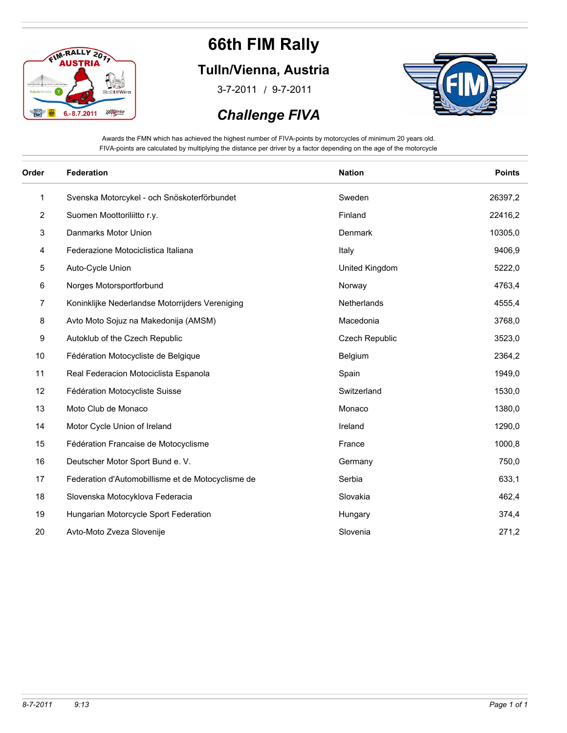

#### **Tulln/Vienna, Austria**

/ 3-7-2011 9-7-2011

### *Challenge FIVA*



Awards the FMN which has achieved the highest number of FIVA-points by motorcycles of minimum 20 years old. FIVA-points are calculated by multiplying the distance per driver by a factor depending on the age of the motorcycle

| Order          | Federation                                        | <b>Nation</b>  | <b>Points</b> |
|----------------|---------------------------------------------------|----------------|---------------|
| 1              | Svenska Motorcykel - och Snöskoterförbundet       | Sweden         | 26397,2       |
| $\overline{c}$ | Suomen Moottoriliitto r.y.                        | Finland        | 22416,2       |
| 3              | Danmarks Motor Union                              | Denmark        | 10305,0       |
| 4              | Federazione Motociclistica Italiana               | Italy          | 9406,9        |
| 5              | Auto-Cycle Union                                  | United Kingdom | 5222,0        |
| 6              | Norges Motorsportforbund                          | Norway         | 4763,4        |
| 7              | Koninklijke Nederlandse Motorrijders Vereniging   | Netherlands    | 4555,4        |
| 8              | Avto Moto Sojuz na Makedonija (AMSM)              | Macedonia      | 3768,0        |
| 9              | Autoklub of the Czech Republic                    | Czech Republic | 3523,0        |
| 10             | Fédération Motocycliste de Belgique               | Belgium        | 2364,2        |
| 11             | Real Federacion Motociclista Espanola             | Spain          | 1949,0        |
| 12             | Fédération Motocycliste Suisse                    | Switzerland    | 1530,0        |
| 13             | Moto Club de Monaco                               | Monaco         | 1380,0        |
| 14             | Motor Cycle Union of Ireland                      | Ireland        | 1290,0        |
| 15             | Fédération Francaise de Motocyclisme              | France         | 1000,8        |
| 16             | Deutscher Motor Sport Bund e. V.                  | Germany        | 750,0         |
| 17             | Federation d'Automobillisme et de Motocyclisme de | Serbia         | 633,1         |
| 18             | Slovenska Motocyklova Federacia                   | Slovakia       | 462,4         |
| 19             | Hungarian Motorcycle Sport Federation             | Hungary        | 374,4         |
| 20             | Avto-Moto Zveza Slovenije                         | Slovenia       | 271,2         |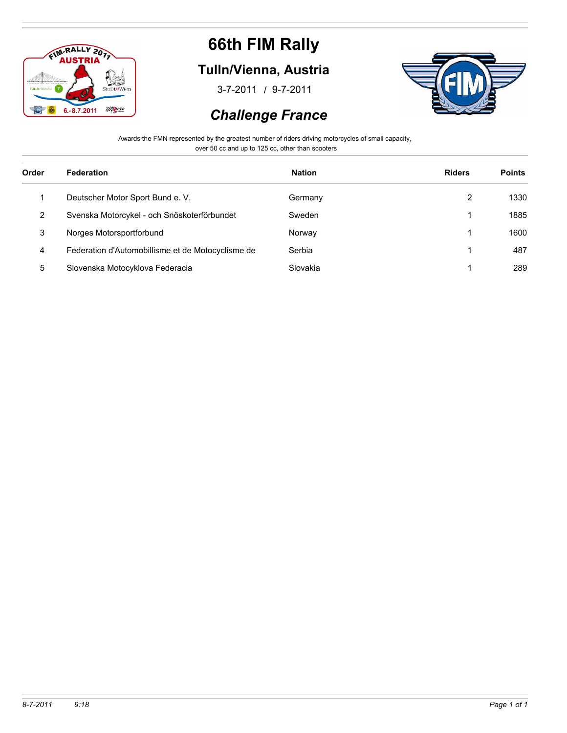

### **Tulln/Vienna, Austria**

/ 3-7-2011 9-7-2011



#### *Challenge France*

Awards the FMN represented by the greatest number of riders driving motorcycles of small capacity,

over 50 cc and up to 125 cc, other than scooters

| Order | Federation                                        | <b>Nation</b> | <b>Riders</b> | <b>Points</b> |
|-------|---------------------------------------------------|---------------|---------------|---------------|
|       | Deutscher Motor Sport Bund e. V.                  | Germany       | 2             | 1330          |
| 2     | Svenska Motorcykel - och Snöskoterförbundet       | Sweden        |               | 1885          |
| 3     | Norges Motorsportforbund                          | Norway        |               | 1600          |
| 4     | Federation d'Automobillisme et de Motocyclisme de | Serbia        |               | 487           |
| 5     | Slovenska Motocyklova Federacia                   | Slovakia      |               | 289           |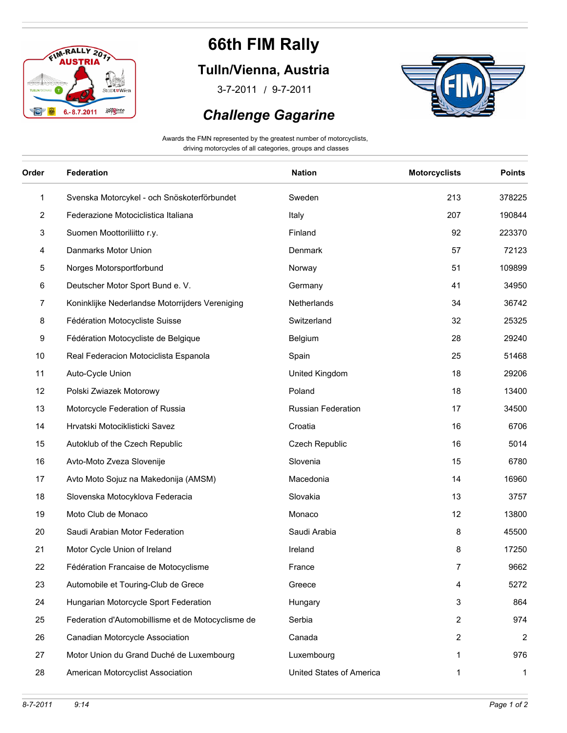

### **Tulln/Vienna, Austria**

/ 3-7-2011 9-7-2011

#### *Challenge Gagarine*



Awards the FMN represented by the greatest number of motorcyclists, driving motorcycles of all categories, groups and classes

| Order        | Federation                                        | <b>Nation</b>            | <b>Motorcyclists</b> | <b>Points</b>  |
|--------------|---------------------------------------------------|--------------------------|----------------------|----------------|
| $\mathbf{1}$ | Svenska Motorcykel - och Snöskoterförbundet       | Sweden                   | 213                  | 378225         |
| 2            | Federazione Motociclistica Italiana               | Italy                    | 207                  | 190844         |
| 3            | Suomen Moottoriliitto r.y.                        | Finland                  | 92                   | 223370         |
| 4            | Danmarks Motor Union                              | Denmark                  | 57                   | 72123          |
| 5            | Norges Motorsportforbund                          | Norway                   | 51                   | 109899         |
| 6            | Deutscher Motor Sport Bund e. V.                  | Germany                  | 41                   | 34950          |
| 7            | Koninklijke Nederlandse Motorrijders Vereniging   | Netherlands              | 34                   | 36742          |
| 8            | Fédération Motocycliste Suisse                    | Switzerland              | 32                   | 25325          |
| 9            | Fédération Motocycliste de Belgique               | Belgium                  | 28                   | 29240          |
| $10$         | Real Federacion Motociclista Espanola             | Spain                    | 25                   | 51468          |
| 11           | Auto-Cycle Union                                  | United Kingdom           | 18                   | 29206          |
| 12           | Polski Zwiazek Motorowy                           | Poland                   | 18                   | 13400          |
| 13           | Motorcycle Federation of Russia                   | Russian Federation       | 17                   | 34500          |
| 14           | Hrvatski Motociklisticki Savez                    | Croatia                  | 16                   | 6706           |
| 15           | Autoklub of the Czech Republic                    | Czech Republic           | 16                   | 5014           |
| 16           | Avto-Moto Zveza Slovenije                         | Slovenia                 | 15                   | 6780           |
| 17           | Avto Moto Sojuz na Makedonija (AMSM)              | Macedonia                | 14                   | 16960          |
| 18           | Slovenska Motocyklova Federacia                   | Slovakia                 | 13                   | 3757           |
| 19           | Moto Club de Monaco                               | Monaco                   | 12                   | 13800          |
| 20           | Saudi Arabian Motor Federation                    | Saudi Arabia             | 8                    | 45500          |
| 21           | Motor Cycle Union of Ireland                      | Ireland                  | 8                    | 17250          |
| 22           | Fédération Francaise de Motocyclisme              | France                   | 7                    | 9662           |
| 23           | Automobile et Touring-Club de Grece               | Greece                   | 4                    | 5272           |
| 24           | Hungarian Motorcycle Sport Federation             | Hungary                  | 3                    | 864            |
| 25           | Federation d'Automobillisme et de Motocyclisme de | Serbia                   | 2                    | 974            |
| 26           | Canadian Motorcycle Association                   | Canada                   | 2                    | $\overline{2}$ |
| 27           | Motor Union du Grand Duché de Luxembourg          | Luxembourg               | 1                    | 976            |
| 28           | American Motorcyclist Association                 | United States of America | 1                    | $\mathbf{1}$   |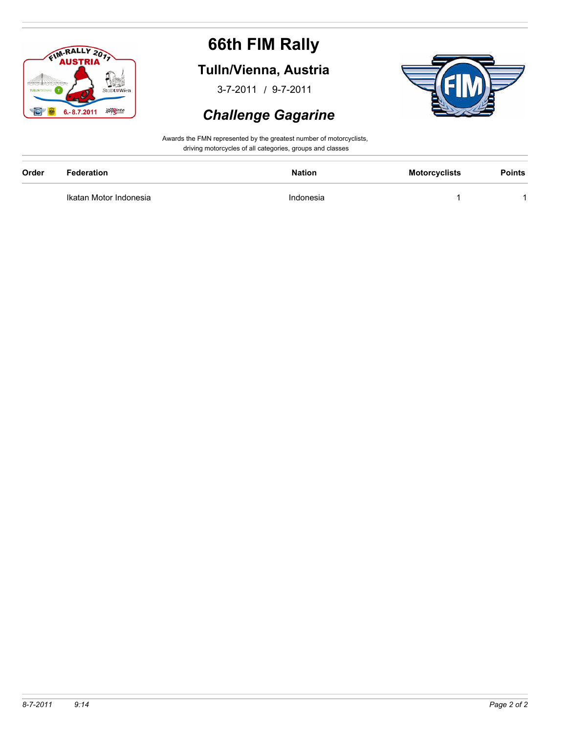

### **Tulln/Vienna, Austria**

/ 3-7-2011 9-7-2011

#### *Challenge Gagarine*



Awards the FMN represented by the greatest number of motorcyclists, driving motorcycles of all categories, groups and classes

| Order | <b>Federation</b>      | Nation    | <b>Motorcyclists</b> | <b>Points</b> |
|-------|------------------------|-----------|----------------------|---------------|
|       | Ikatan Motor Indonesia | Indonesia |                      |               |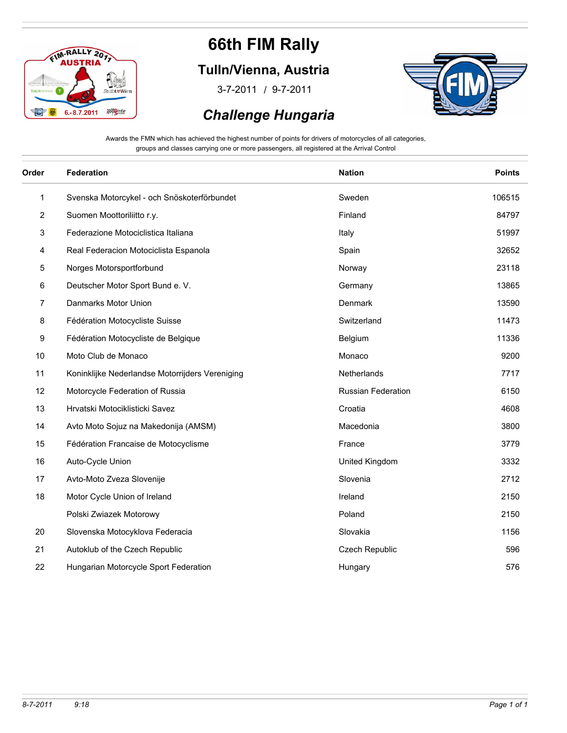

### **Tulln/Vienna, Austria**

/ 3-7-2011 9-7-2011



#### *Challenge Hungaria*

Awards the FMN which has achieved the highest number of points for drivers of motorcycles of all categories, groups and classes carrying one or more passengers, all registered at the Arrival Control

| Order | <b>Federation</b>                               | <b>Nation</b>             | <b>Points</b> |
|-------|-------------------------------------------------|---------------------------|---------------|
| 1     | Svenska Motorcykel - och Snöskoterförbundet     | Sweden                    | 106515        |
| 2     | Suomen Moottoriliitto r.y.                      | Finland                   | 84797         |
| 3     | Federazione Motociclistica Italiana             | Italy                     | 51997         |
| 4     | Real Federacion Motociclista Espanola           | Spain                     | 32652         |
| 5     | Norges Motorsportforbund                        | Norway                    | 23118         |
| 6     | Deutscher Motor Sport Bund e. V.                | Germany                   | 13865         |
| 7     | Danmarks Motor Union                            | Denmark                   | 13590         |
| 8     | Fédération Motocycliste Suisse                  | Switzerland               | 11473         |
| 9     | Fédération Motocycliste de Belgique             | Belgium                   | 11336         |
| $10$  | Moto Club de Monaco                             | Monaco                    | 9200          |
| 11    | Koninklijke Nederlandse Motorrijders Vereniging | Netherlands               | 7717          |
| 12    | Motorcycle Federation of Russia                 | <b>Russian Federation</b> | 6150          |
| 13    | Hrvatski Motociklisticki Savez                  | Croatia                   | 4608          |
| 14    | Avto Moto Sojuz na Makedonija (AMSM)            | Macedonia                 | 3800          |
| 15    | Fédération Francaise de Motocyclisme            | France                    | 3779          |
| 16    | Auto-Cycle Union                                | United Kingdom            | 3332          |
| 17    | Avto-Moto Zveza Slovenije                       | Slovenia                  | 2712          |
| 18    | Motor Cycle Union of Ireland                    | Ireland                   | 2150          |
|       | Polski Zwiazek Motorowy                         | Poland                    | 2150          |
| 20    | Slovenska Motocyklova Federacia                 | Slovakia                  | 1156          |
| 21    | Autoklub of the Czech Republic                  | Czech Republic            | 596           |
| 22    | Hungarian Motorcycle Sport Federation           | Hungary                   | 576           |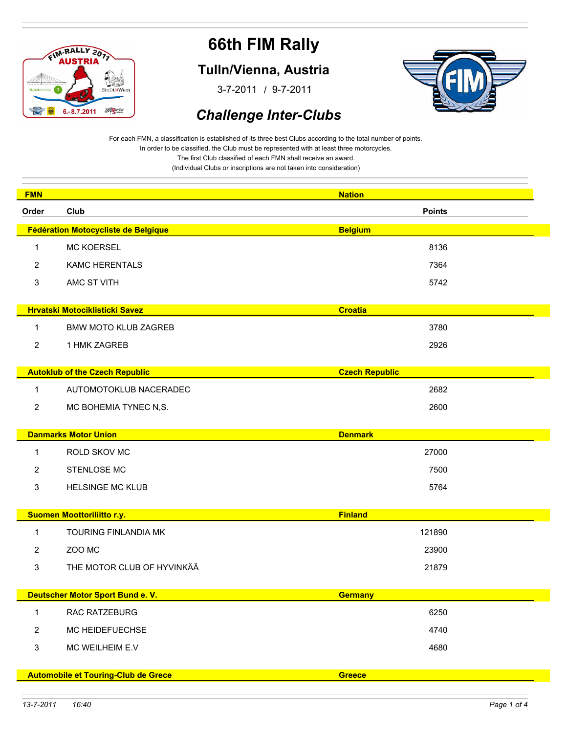

#### **Tulln/Vienna, Austria**

/ 3-7-2011 9-7-2011



### *Challenge Inter-Clubs*

For each FMN, a classification is established of its three best Clubs according to the total number of points. In order to be classified, the Club must be represented with at least three motorcycles. The first Club classified of each FMN shall receive an award.

| <b>FMN</b> |                                            | <b>Nation</b>         |
|------------|--------------------------------------------|-----------------------|
| Order      | Club                                       | <b>Points</b>         |
|            | Fédération Motocycliste de Belgique        | <b>Belgium</b>        |
| 1          | <b>MC KOERSEL</b>                          | 8136                  |
| 2          | <b>KAMC HERENTALS</b>                      | 7364                  |
| 3          | AMC ST VITH                                | 5742                  |
|            |                                            |                       |
|            | <b>Hrvatski Motociklisticki Savez</b>      | <b>Croatia</b>        |
| 1          | <b>BMW MOTO KLUB ZAGREB</b>                | 3780                  |
| 2          | 1 HMK ZAGREB                               | 2926                  |
|            | <b>Autoklub of the Czech Republic</b>      | <b>Czech Republic</b> |
| 1          | AUTOMOTOKLUB NACERADEC                     | 2682                  |
| 2          | MC BOHEMIA TYNEC N,S.                      | 2600                  |
|            |                                            |                       |
|            | <b>Danmarks Motor Union</b>                | <b>Denmark</b>        |
| 1          | ROLD SKOV MC                               | 27000                 |
| 2          | STENLOSE MC                                | 7500                  |
| 3          | <b>HELSINGE MC KLUB</b>                    | 5764                  |
|            |                                            |                       |
|            | Suomen Moottoriliitto r.y.                 | <b>Finland</b>        |
| 1          | TOURING FINLANDIA MK                       | 121890                |
| 2          | ZOO MC                                     | 23900                 |
| 3          | THE MOTOR CLUB OF HYVINKÄÄ                 | 21879                 |
|            |                                            |                       |
|            | Deutscher Motor Sport Bund e. V.           | <b>Germany</b>        |
| 1          | RAC RATZEBURG                              | 6250                  |
| 2          | MC HEIDEFUECHSE                            | 4740                  |
| 3          | MC WEILHEIM E.V                            | 4680                  |
|            | <b>Automobile et Touring-Club de Grece</b> | <b>Greece</b>         |
|            |                                            |                       |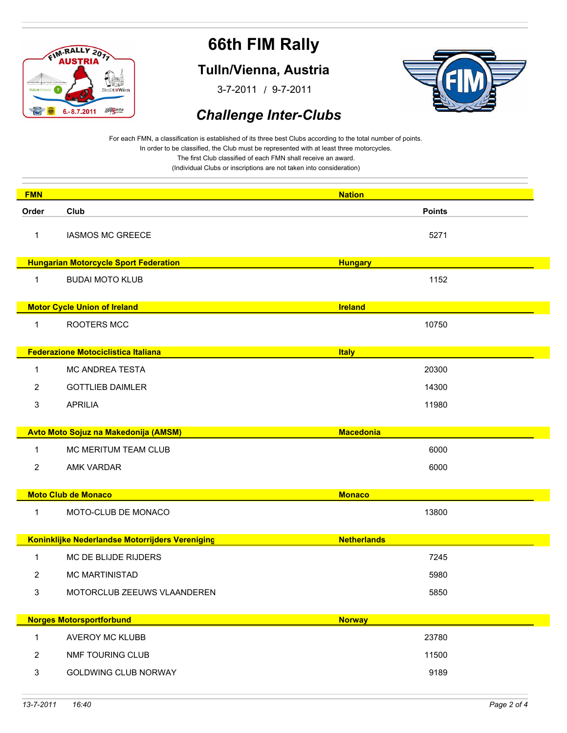

#### **Tulln/Vienna, Austria**

/ 3-7-2011 9-7-2011



### *Challenge Inter-Clubs*

For each FMN, a classification is established of its three best Clubs according to the total number of points. In order to be classified, the Club must be represented with at least three motorcycles. The first Club classified of each FMN shall receive an award.

| <b>FMN</b>     |                                                 | <b>Nation</b>      |  |
|----------------|-------------------------------------------------|--------------------|--|
| Order          | Club                                            | <b>Points</b>      |  |
| 1              | <b>IASMOS MC GREECE</b>                         | 5271               |  |
|                | <b>Hungarian Motorcycle Sport Federation</b>    | <b>Hungary</b>     |  |
| $\mathbf 1$    | <b>BUDAI MOTO KLUB</b>                          | 1152               |  |
|                | <b>Motor Cycle Union of Ireland</b>             | <b>Ireland</b>     |  |
| $\mathbf{1}$   | ROOTERS MCC                                     | 10750              |  |
|                | <b>Federazione Motociclistica Italiana</b>      | <b>Italy</b>       |  |
| $\mathbf{1}$   | <b>MC ANDREA TESTA</b>                          | 20300              |  |
| 2              | <b>GOTTLIEB DAIMLER</b>                         | 14300              |  |
| 3              | <b>APRILIA</b>                                  | 11980              |  |
|                | Avto Moto Sojuz na Makedonija (AMSM)            | <b>Macedonia</b>   |  |
| $\mathbf{1}$   | MC MERITUM TEAM CLUB                            | 6000               |  |
| 2              | AMK VARDAR                                      | 6000               |  |
|                | <b>Moto Club de Monaco</b>                      | <b>Monaco</b>      |  |
| $\mathbf{1}$   | MOTO-CLUB DE MONACO                             | 13800              |  |
|                | Koninklijke Nederlandse Motorrijders Vereniging | <b>Netherlands</b> |  |
| $\mathbf 1$    | MC DE BLIJDE RIJDERS                            | 7245               |  |
| 2              | <b>MC MARTINISTAD</b>                           | 5980               |  |
| 3              | MOTORCLUB ZEEUWS VLAANDEREN                     | 5850               |  |
|                | <b>Norges Motorsportforbund</b>                 | <b>Norway</b>      |  |
| $\mathbf{1}$   | AVEROY MC KLUBB                                 | 23780              |  |
| $\overline{2}$ | NMF TOURING CLUB                                | 11500              |  |
| $\mathsf 3$    | <b>GOLDWING CLUB NORWAY</b>                     | 9189               |  |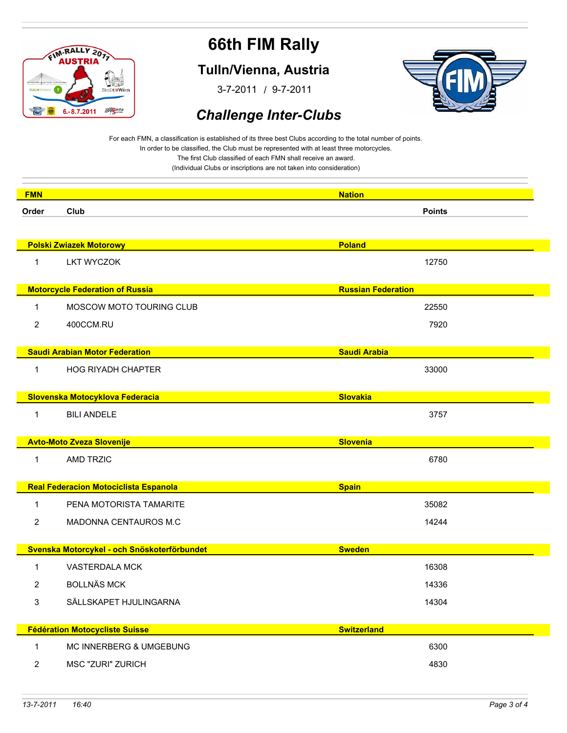

#### **Tulln/Vienna, Austria**

/ 3-7-2011 9-7-2011



#### *Challenge Inter-Clubs*

For each FMN, a classification is established of its three best Clubs according to the total number of points. In order to be classified, the Club must be represented with at least three motorcycles. The first Club classified of each FMN shall receive an award.

| <b>FMN</b>     |                                              | <b>Nation</b>             |
|----------------|----------------------------------------------|---------------------------|
| Order          | Club                                         | <b>Points</b>             |
|                |                                              |                           |
|                | <b>Polski Zwiazek Motorowy</b>               | <b>Poland</b>             |
| 1              | <b>LKT WYCZOK</b>                            | 12750                     |
|                |                                              |                           |
|                | <b>Motorcycle Federation of Russia</b>       | <b>Russian Federation</b> |
| 1              | MOSCOW MOTO TOURING CLUB                     | 22550                     |
| $\overline{2}$ | 400CCM.RU                                    | 7920                      |
|                |                                              |                           |
|                | <b>Saudi Arabian Motor Federation</b>        | <b>Saudi Arabia</b>       |
| 1              | <b>HOG RIYADH CHAPTER</b>                    | 33000                     |
|                |                                              |                           |
|                | Slovenska Motocyklova Federacia              | <b>Slovakia</b>           |
| 1              | <b>BILI ANDELE</b>                           | 3757                      |
|                |                                              |                           |
|                | <b>Avto-Moto Zveza Slovenije</b>             | <b>Slovenia</b>           |
| 1              | <b>AMD TRZIC</b>                             | 6780                      |
|                | <b>Real Federacion Motociclista Espanola</b> | <b>Spain</b>              |
|                |                                              |                           |
| 1              | PENA MOTORISTA TAMARITE                      | 35082                     |
| $\overline{2}$ | MADONNA CENTAUROS M.C                        | 14244                     |
|                | Svenska Motorcykel - och Snöskoterförbundet  | <b>Sweden</b>             |
| 1              | VASTERDALA MCK                               | 16308                     |
|                |                                              |                           |
| $\overline{2}$ | <b>BOLLNÄS MCK</b>                           | 14336                     |
| 3              | SÄLLSKAPET HJULINGARNA                       | 14304                     |
|                | <b>Fédération Motocycliste Suisse</b>        | <b>Switzerland</b>        |
|                |                                              |                           |
| $\mathbf{1}$   | MC INNERBERG & UMGEBUNG                      | 6300                      |
| $\overline{2}$ | <b>MSC "ZURI" ZURICH</b>                     | 4830                      |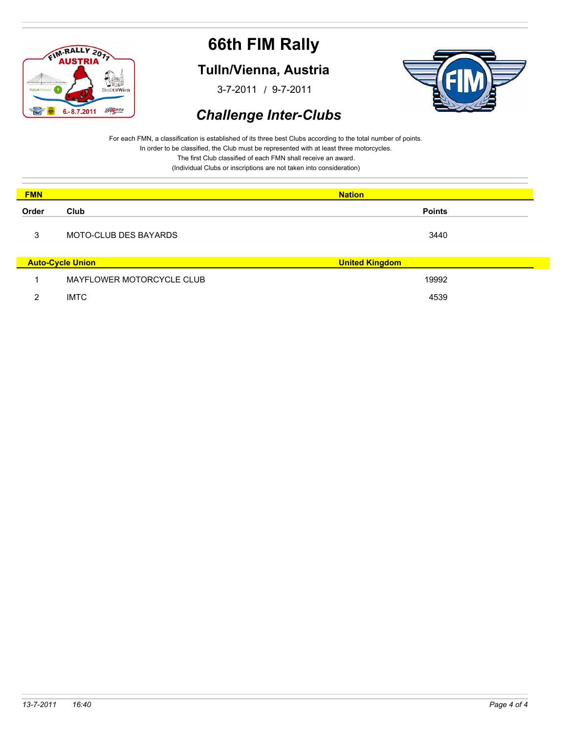

#### **Tulln/Vienna, Austria**

/ 3-7-2011 9-7-2011



### *Challenge Inter-Clubs*

For each FMN, a classification is established of its three best Clubs according to the total number of points. In order to be classified, the Club must be represented with at least three motorcycles. The first Club classified of each FMN shall receive an award.

| <b>FMN</b> |                              | <b>Nation</b>         |
|------------|------------------------------|-----------------------|
| Order      | Club                         | <b>Points</b>         |
| 3          | <b>MOTO-CLUB DES BAYARDS</b> | 3440                  |
|            | <b>Auto-Cycle Union</b>      | <b>United Kingdom</b> |
|            | MAYFLOWER MOTORCYCLE CLUB    | 19992                 |
| ົ          | <b>IMTC</b>                  | 4539                  |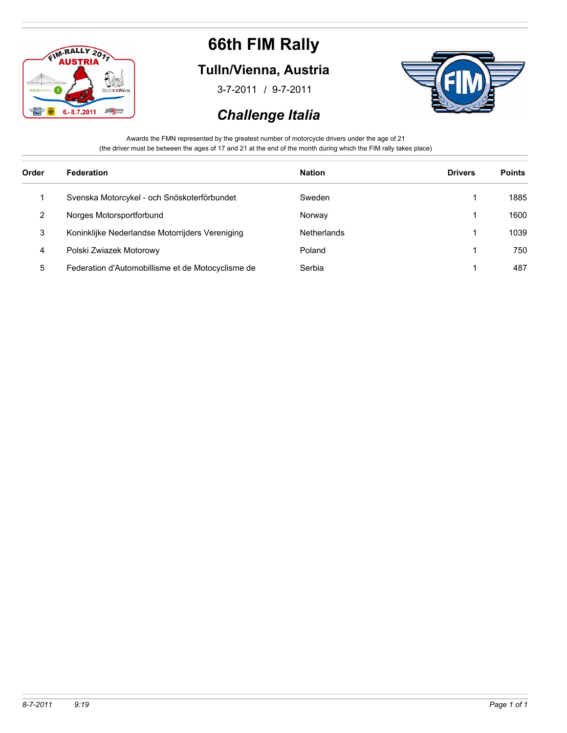

### **Tulln/Vienna, Austria**

/ 3-7-2011 9-7-2011

### *Challenge Italia*



Awards the FMN represented by the greatest number of motorcycle drivers under the age of 21 (the driver must be between the ages of 17 and 21 at the end of the month during which the FIM rally takes place)

| Order | Federation                                        | <b>Nation</b> | <b>Drivers</b> | <b>Points</b> |
|-------|---------------------------------------------------|---------------|----------------|---------------|
|       | Svenska Motorcykel - och Snöskoterförbundet       | Sweden        |                | 1885          |
| 2     | Norges Motorsportforbund                          | Norway        |                | 1600          |
| 3     | Koninklijke Nederlandse Motorrijders Vereniging   | Netherlands   |                | 1039          |
| 4     | Polski Zwiazek Motorowy                           | Poland        |                | 750           |
| 5     | Federation d'Automobillisme et de Motocyclisme de | Serbia        |                | 487           |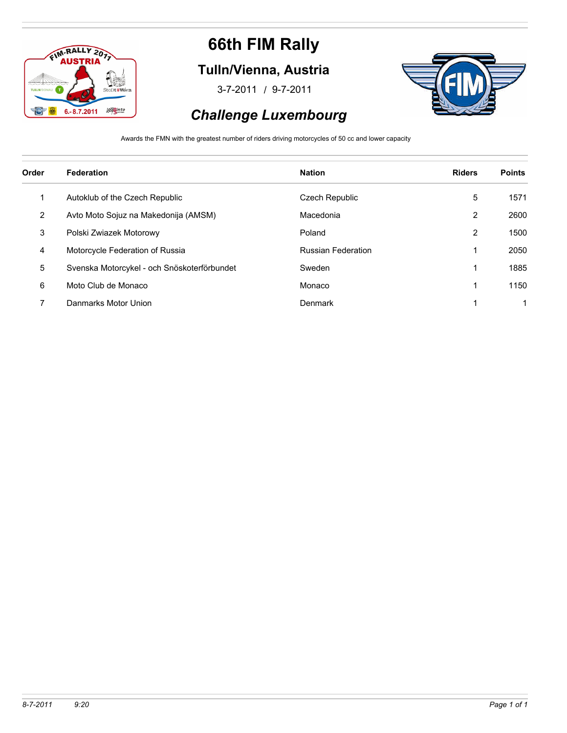

### **Tulln/Vienna, Austria**

/ 3-7-2011 9-7-2011



### *Challenge Luxembourg*

Awards the FMN with the greatest number of riders driving motorcycles of 50 cc and lower capacity

| Order | Federation                                  | <b>Nation</b>             | <b>Riders</b> | <b>Points</b> |
|-------|---------------------------------------------|---------------------------|---------------|---------------|
| 1     | Autoklub of the Czech Republic              | Czech Republic            | 5             | 1571          |
| 2     | Avto Moto Sojuz na Makedonija (AMSM)        | Macedonia                 | 2             | 2600          |
| 3     | Polski Zwiazek Motorowy                     | Poland                    | 2             | 1500          |
| 4     | Motorcycle Federation of Russia             | <b>Russian Federation</b> |               | 2050          |
| 5     | Svenska Motorcykel - och Snöskoterförbundet | Sweden                    |               | 1885          |
| 6     | Moto Club de Monaco                         | Monaco                    |               | 1150          |
| ⇁     | Danmarks Motor Union                        | Denmark                   |               |               |
|       |                                             |                           |               |               |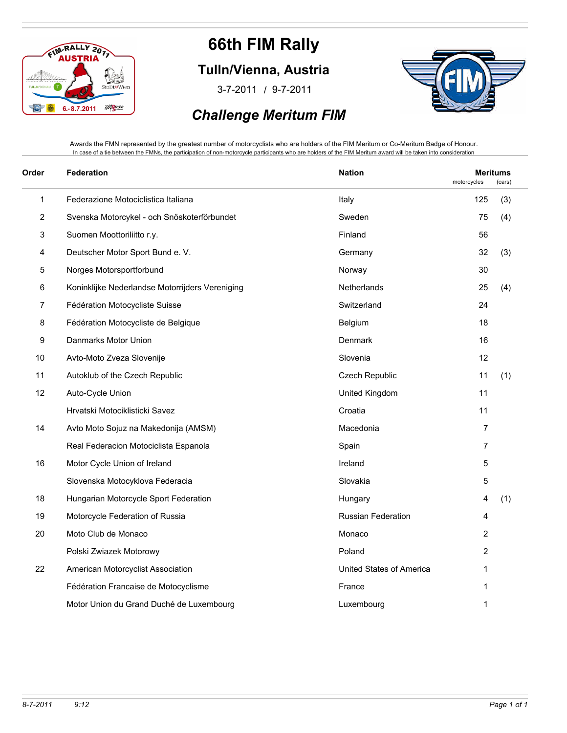

**Tulln/Vienna, Austria**

/ 3-7-2011 9-7-2011



#### *Challenge Meritum FIM*

Awards the FMN represented by the greatest number of motorcyclists who are holders of the FIM Meritum or Co-Meritum Badge of Honour. In case of a tie between the FMNs, the participation of non-motorcycle participants who are holders of the FIM Meritum award will be taken into consideration

| Order        | <b>Federation</b>                               | <b>Nation</b>            | motorcycles    | <b>Meritums</b><br>(cars) |
|--------------|-------------------------------------------------|--------------------------|----------------|---------------------------|
| $\mathbf{1}$ | Federazione Motociclistica Italiana             | Italy                    | 125            | (3)                       |
| 2            | Svenska Motorcykel - och Snöskoterförbundet     | Sweden                   | 75             | (4)                       |
| 3            | Suomen Moottoriliitto r.y.                      | Finland                  | 56             |                           |
| 4            | Deutscher Motor Sport Bund e. V.                | Germany                  | 32             | (3)                       |
| 5            | Norges Motorsportforbund                        | Norway                   | 30             |                           |
| 6            | Koninklijke Nederlandse Motorrijders Vereniging | Netherlands              | 25             | (4)                       |
| 7            | Fédération Motocycliste Suisse                  | Switzerland              | 24             |                           |
| 8            | Fédération Motocycliste de Belgique             | Belgium                  | 18             |                           |
| 9            | Danmarks Motor Union                            | Denmark                  | 16             |                           |
| 10           | Avto-Moto Zveza Slovenije                       | Slovenia                 | 12             |                           |
| 11           | Autoklub of the Czech Republic                  | <b>Czech Republic</b>    | 11             | (1)                       |
| 12           | Auto-Cycle Union                                | United Kingdom           | 11             |                           |
|              | Hrvatski Motociklisticki Savez                  | Croatia                  | 11             |                           |
| 14           | Avto Moto Sojuz na Makedonija (AMSM)            | Macedonia                | $\overline{7}$ |                           |
|              | Real Federacion Motociclista Espanola           | Spain                    | $\overline{7}$ |                           |
| 16           | Motor Cycle Union of Ireland                    | Ireland                  | 5              |                           |
|              | Slovenska Motocyklova Federacia                 | Slovakia                 | 5              |                           |
| 18           | Hungarian Motorcycle Sport Federation           | Hungary                  | 4              | (1)                       |
| 19           | Motorcycle Federation of Russia                 | Russian Federation       | 4              |                           |
| 20           | Moto Club de Monaco                             | Monaco                   | $\overline{c}$ |                           |
|              | Polski Zwiazek Motorowy                         | Poland                   | $\overline{c}$ |                           |
| 22           | American Motorcyclist Association               | United States of America | 1              |                           |
|              | Fédération Francaise de Motocyclisme            | France                   | 1              |                           |
|              | Motor Union du Grand Duché de Luxembourg        | Luxembourg               | 1              |                           |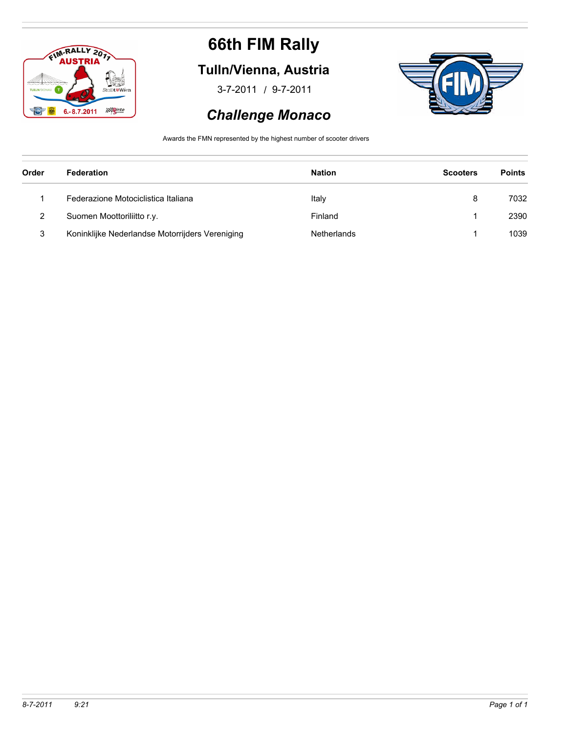

### **Tulln/Vienna, Austria**

/ 3-7-2011 9-7-2011



#### *Challenge Monaco*

Awards the FMN represented by the highest number of scooter drivers

| Order | Federation                                      | <b>Nation</b> | <b>Scooters</b> | <b>Points</b> |
|-------|-------------------------------------------------|---------------|-----------------|---------------|
|       | Federazione Motociclistica Italiana             | Italy         | 8               | 7032          |
| ົ     | Suomen Moottoriliitto r.y.                      | Finland       |                 | 2390          |
| 3     | Koninklijke Nederlandse Motorrijders Vereniging | Netherlands   |                 | 1039          |
|       |                                                 |               |                 |               |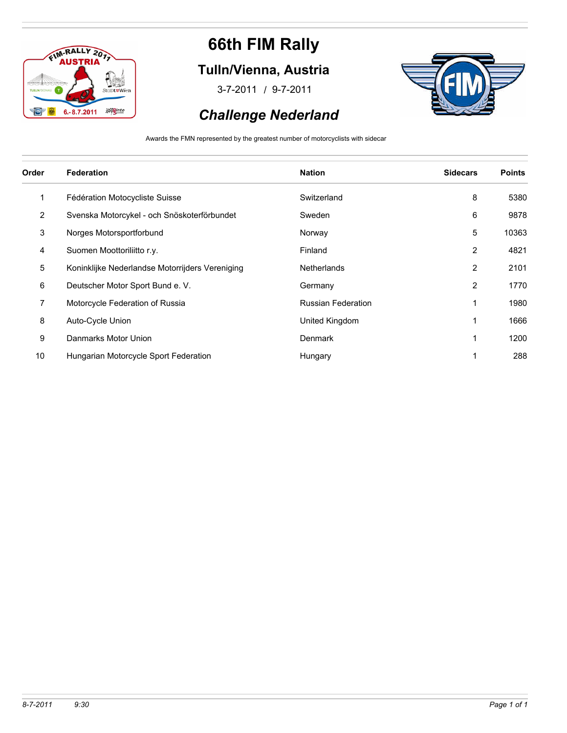

### **Tulln/Vienna, Austria**

/ 3-7-2011 9-7-2011



### *Challenge Nederland*

Awards the FMN represented by the greatest number of motorcyclists with sidecar

| Order          | <b>Federation</b>                               | <b>Nation</b>             | <b>Sidecars</b> | <b>Points</b> |
|----------------|-------------------------------------------------|---------------------------|-----------------|---------------|
| 1              | Fédération Motocycliste Suisse                  | Switzerland               | 8               | 5380          |
| $\overline{2}$ | Svenska Motorcykel - och Snöskoterförbundet     | Sweden                    | 6               | 9878          |
| 3              | Norges Motorsportforbund                        | Norway                    | 5               | 10363         |
| 4              | Suomen Moottoriliitto r.y.                      | Finland                   | 2               | 4821          |
| 5              | Koninklijke Nederlandse Motorrijders Vereniging | <b>Netherlands</b>        | 2               | 2101          |
| 6              | Deutscher Motor Sport Bund e. V.                | Germany                   | 2               | 1770          |
| 7              | Motorcycle Federation of Russia                 | <b>Russian Federation</b> | 1               | 1980          |
| 8              | Auto-Cycle Union                                | United Kingdom            |                 | 1666          |
| 9              | Danmarks Motor Union                            | <b>Denmark</b>            | 1               | 1200          |
| 10             | Hungarian Motorcycle Sport Federation           | Hungary                   |                 | 288           |
|                |                                                 |                           |                 |               |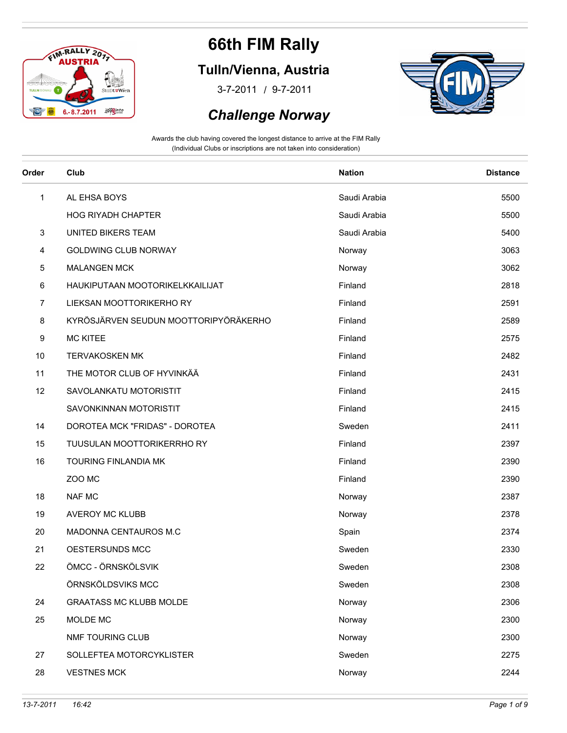

### **Tulln/Vienna, Austria**

/ 3-7-2011 9-7-2011

#### *Challenge Norway*



| Order        | Club                                  | <b>Nation</b> | <b>Distance</b> |
|--------------|---------------------------------------|---------------|-----------------|
| $\mathbf{1}$ | AL EHSA BOYS                          | Saudi Arabia  | 5500            |
|              | <b>HOG RIYADH CHAPTER</b>             | Saudi Arabia  | 5500            |
| 3            | UNITED BIKERS TEAM                    | Saudi Arabia  | 5400            |
| 4            | GOLDWING CLUB NORWAY                  | Norway        | 3063            |
| 5            | <b>MALANGEN MCK</b>                   | Norway        | 3062            |
| 6            | HAUKIPUTAAN MOOTORIKELKKAILIJAT       | Finland       | 2818            |
| 7            | LIEKSAN MOOTTORIKERHO RY              | Finland       | 2591            |
| 8            | KYRÖSJÄRVEN SEUDUN MOOTTORIPYÖRÄKERHO | Finland       | 2589            |
| 9            | <b>MC KITEE</b>                       | Finland       | 2575            |
| 10           | <b>TERVAKOSKEN MK</b>                 | Finland       | 2482            |
| 11           | THE MOTOR CLUB OF HYVINKÄÄ            | Finland       | 2431            |
| 12           | SAVOLANKATU MOTORISTIT                | Finland       | 2415            |
|              | SAVONKINNAN MOTORISTIT                | Finland       | 2415            |
| 14           | DOROTEA MCK "FRIDAS" - DOROTEA        | Sweden        | 2411            |
| 15           | TUUSULAN MOOTTORIKERRHO RY            | Finland       | 2397            |
| 16           | TOURING FINLANDIA MK                  | Finland       | 2390            |
|              | ZOO MC                                | Finland       | 2390            |
| 18           | NAF MC                                | Norway        | 2387            |
| 19           | AVEROY MC KLUBB                       | Norway        | 2378            |
| 20           | MADONNA CENTAUROS M.C                 | Spain         | 2374            |
| 21           | OESTERSUNDS MCC                       | Sweden        | 2330            |
| 22           | ÖMCC - ÖRNSKÖLSVIK                    | Sweden        | 2308            |
|              | ÖRNSKÖLDSVIKS MCC                     | Sweden        | 2308            |
| 24           | <b>GRAATASS MC KLUBB MOLDE</b>        | Norway        | 2306            |
| 25           | MOLDE MC                              | Norway        | 2300            |
|              | NMF TOURING CLUB                      | Norway        | 2300            |
| 27           | SOLLEFTEA MOTORCYKLISTER              | Sweden        | 2275            |
| 28           | <b>VESTNES MCK</b>                    | Norway        | 2244            |
|              |                                       |               |                 |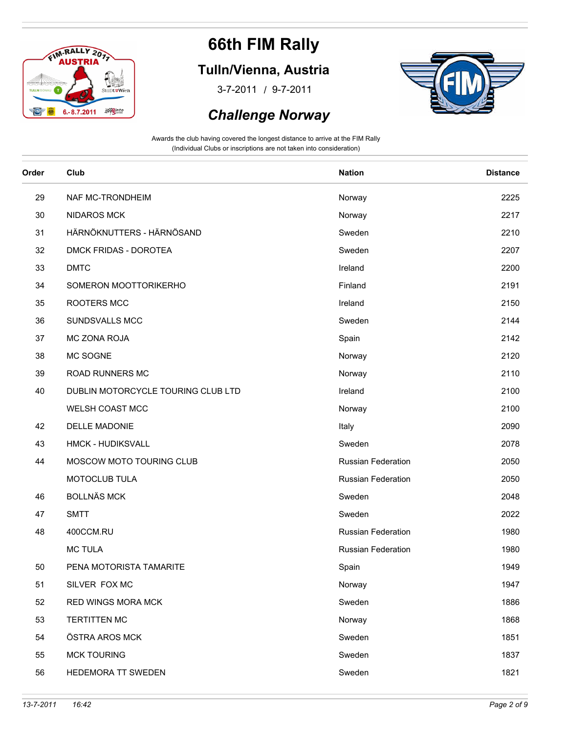

### **Tulln/Vienna, Austria**

/ 3-7-2011 9-7-2011

#### *Challenge Norway*



| Order | Club                               | <b>Nation</b>      | <b>Distance</b> |
|-------|------------------------------------|--------------------|-----------------|
| 29    | NAF MC-TRONDHEIM                   | Norway             | 2225            |
| 30    | <b>NIDAROS MCK</b>                 | Norway             | 2217            |
| 31    | HÄRNÖKNUTTERS - HÄRNÖSAND          | Sweden             | 2210            |
| 32    | DMCK FRIDAS - DOROTEA              | Sweden             | 2207            |
| 33    | <b>DMTC</b>                        | Ireland            | 2200            |
| 34    | SOMERON MOOTTORIKERHO              | Finland            | 2191            |
| 35    | ROOTERS MCC                        | Ireland            | 2150            |
| 36    | SUNDSVALLS MCC                     | Sweden             | 2144            |
| 37    | MC ZONA ROJA                       | Spain              | 2142            |
| 38    | MC SOGNE                           | Norway             | 2120            |
| 39    | ROAD RUNNERS MC                    | Norway             | 2110            |
| 40    | DUBLIN MOTORCYCLE TOURING CLUB LTD | Ireland            | 2100            |
|       | WELSH COAST MCC                    | Norway             | 2100            |
| 42    | DELLE MADONIE                      | Italy              | 2090            |
| 43    | <b>HMCK - HUDIKSVALL</b>           | Sweden             | 2078            |
| 44    | MOSCOW MOTO TOURING CLUB           | Russian Federation | 2050            |
|       | MOTOCLUB TULA                      | Russian Federation | 2050            |
| 46    | <b>BOLLNÄS MCK</b>                 | Sweden             | 2048            |
| 47    | <b>SMTT</b>                        | Sweden             | 2022            |
| 48    | 400CCM.RU                          | Russian Federation | 1980            |
|       | <b>MC TULA</b>                     | Russian Federation | 1980            |
| 50    | PENA MOTORISTA TAMARITE            | Spain              | 1949            |
| 51    | SILVER FOX MC                      | Norway             | 1947            |
| 52    | RED WINGS MORA MCK                 | Sweden             | 1886            |
| 53    | <b>TERTITTEN MC</b>                | Norway             | 1868            |
| 54    | ÖSTRA AROS MCK                     | Sweden             | 1851            |
| 55    | <b>MCK TOURING</b>                 | Sweden             | 1837            |
| 56    | HEDEMORA TT SWEDEN                 | Sweden             | 1821            |
|       |                                    |                    |                 |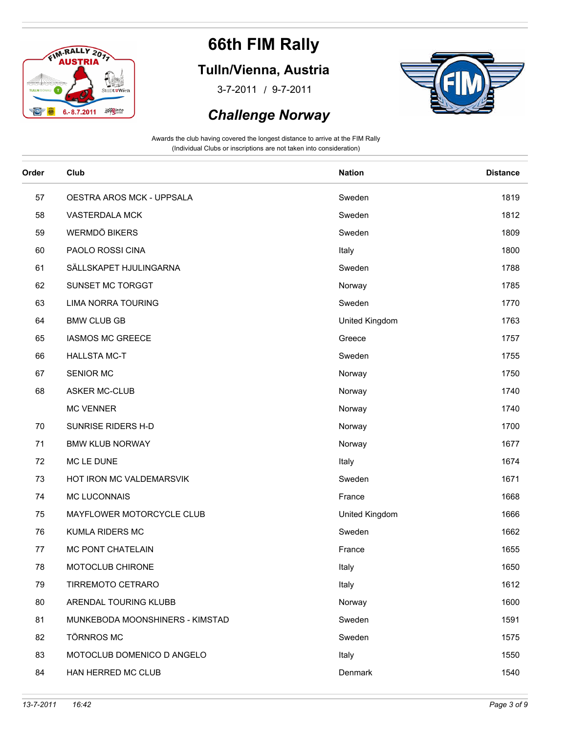

### **Tulln/Vienna, Austria**

/ 3-7-2011 9-7-2011

#### *Challenge Norway*



| Order | Club                            | <b>Nation</b>  | <b>Distance</b> |
|-------|---------------------------------|----------------|-----------------|
| 57    | OESTRA AROS MCK - UPPSALA       | Sweden         | 1819            |
| 58    | VASTERDALA MCK                  | Sweden         | 1812            |
| 59    | <b>WERMDÖ BIKERS</b>            | Sweden         | 1809            |
| 60    | PAOLO ROSSI CINA                | Italy          | 1800            |
| 61    | SÄLLSKAPET HJULINGARNA          | Sweden         | 1788            |
| 62    | SUNSET MC TORGGT                | Norway         | 1785            |
| 63    | <b>LIMA NORRA TOURING</b>       | Sweden         | 1770            |
| 64    | <b>BMW CLUB GB</b>              | United Kingdom | 1763            |
| 65    | <b>IASMOS MC GREECE</b>         | Greece         | 1757            |
| 66    | <b>HALLSTA MC-T</b>             | Sweden         | 1755            |
| 67    | SENIOR MC                       | Norway         | 1750            |
| 68    | <b>ASKER MC-CLUB</b>            | Norway         | 1740            |
|       | <b>MC VENNER</b>                | Norway         | 1740            |
| 70    | SUNRISE RIDERS H-D              | Norway         | 1700            |
| 71    | <b>BMW KLUB NORWAY</b>          | Norway         | 1677            |
| 72    | MC LE DUNE                      | Italy          | 1674            |
| 73    | HOT IRON MC VALDEMARSVIK        | Sweden         | 1671            |
| 74    | MC LUCONNAIS                    | France         | 1668            |
| 75    | MAYFLOWER MOTORCYCLE CLUB       | United Kingdom | 1666            |
| 76    | <b>KUMLA RIDERS MC</b>          | Sweden         | 1662            |
| 77    | MC PONT CHATELAIN               | France         | 1655            |
| 78    | MOTOCLUB CHIRONE                | Italy          | 1650            |
| 79    | TIRREMOTO CETRARO               | Italy          | 1612            |
| 80    | ARENDAL TOURING KLUBB           | Norway         | 1600            |
| 81    | MUNKEBODA MOONSHINERS - KIMSTAD | Sweden         | 1591            |
| 82    | <b>TÖRNROS MC</b>               | Sweden         | 1575            |
| 83    | MOTOCLUB DOMENICO D ANGELO      | Italy          | 1550            |
| 84    | HAN HERRED MC CLUB              | Denmark        | 1540            |
|       |                                 |                |                 |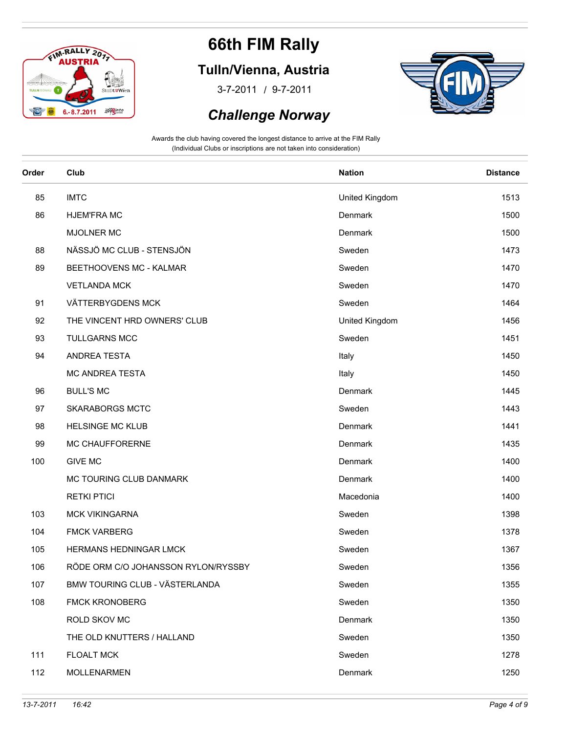

### **Tulln/Vienna, Austria**

/ 3-7-2011 9-7-2011



#### *Challenge Norway*

| Order | Club                                | <b>Nation</b>  | <b>Distance</b> |
|-------|-------------------------------------|----------------|-----------------|
| 85    | <b>IMTC</b>                         | United Kingdom | 1513            |
| 86    | <b>HJEM'FRA MC</b>                  | Denmark        | 1500            |
|       | <b>MJOLNER MC</b>                   | Denmark        | 1500            |
| 88    | NÄSSJÖ MC CLUB - STENSJÖN           | Sweden         | 1473            |
| 89    | BEETHOOVENS MC - KALMAR             | Sweden         | 1470            |
|       | <b>VETLANDA MCK</b>                 | Sweden         | 1470            |
| 91    | VÄTTERBYGDENS MCK                   | Sweden         | 1464            |
| 92    | THE VINCENT HRD OWNERS' CLUB        | United Kingdom | 1456            |
| 93    | <b>TULLGARNS MCC</b>                | Sweden         | 1451            |
| 94    | ANDREA TESTA                        | Italy          | 1450            |
|       | MC ANDREA TESTA                     | Italy          | 1450            |
| 96    | <b>BULL'S MC</b>                    | Denmark        | 1445            |
| 97    | <b>SKARABORGS MCTC</b>              | Sweden         | 1443            |
| 98    | <b>HELSINGE MC KLUB</b>             | Denmark        | 1441            |
| 99    | MC CHAUFFORERNE                     | Denmark        | 1435            |
| 100   | <b>GIVE MC</b>                      | Denmark        | 1400            |
|       | MC TOURING CLUB DANMARK             | Denmark        | 1400            |
|       | <b>RETKI PTICI</b>                  | Macedonia      | 1400            |
| 103   | <b>MCK VIKINGARNA</b>               | Sweden         | 1398            |
| 104   | <b>FMCK VARBERG</b>                 | Sweden         | 1378            |
| 105   | HERMANS HEDNINGAR LMCK              | Sweden         | 1367            |
| 106   | RÖDE ORM C/O JOHANSSON RYLON/RYSSBY | Sweden         | 1356            |
| 107   | BMW TOURING CLUB - VÄSTERLANDA      | Sweden         | 1355            |
| 108   | <b>FMCK KRONOBERG</b>               | Sweden         | 1350            |
|       | ROLD SKOV MC                        | Denmark        | 1350            |
|       | THE OLD KNUTTERS / HALLAND          | Sweden         | 1350            |
| 111   | <b>FLOALT MCK</b>                   | Sweden         | 1278            |
| 112   | <b>MOLLENARMEN</b>                  | Denmark        | 1250            |
|       |                                     |                |                 |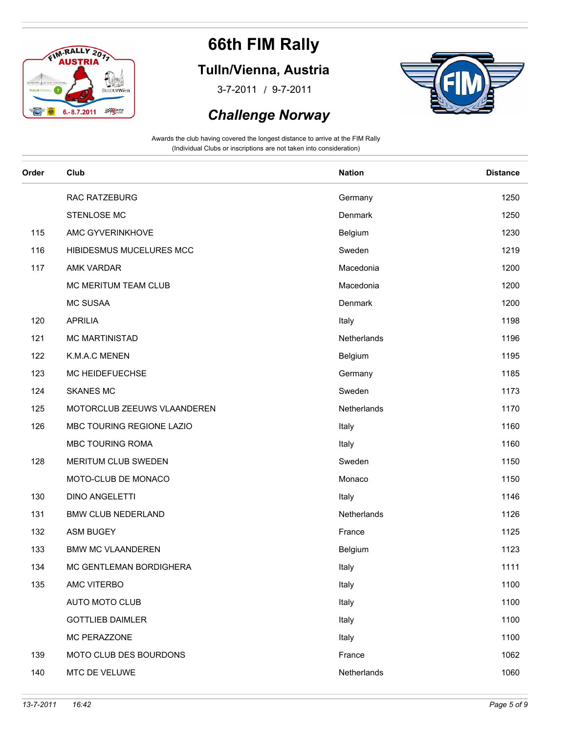

### **Tulln/Vienna, Austria**

/ 3-7-2011 9-7-2011

#### *Challenge Norway*



| Order | Club                        | <b>Nation</b> | <b>Distance</b> |
|-------|-----------------------------|---------------|-----------------|
|       | RAC RATZEBURG               | Germany       | 1250            |
|       | STENLOSE MC                 | Denmark       | 1250            |
| 115   | AMC GYVERINKHOVE            | Belgium       | 1230            |
| 116   | HIBIDESMUS MUCELURES MCC    | Sweden        | 1219            |
| 117   | AMK VARDAR                  | Macedonia     | 1200            |
|       | MC MERITUM TEAM CLUB        | Macedonia     | 1200            |
|       | <b>MC SUSAA</b>             | Denmark       | 1200            |
| 120   | <b>APRILIA</b>              | Italy         | 1198            |
| 121   | <b>MC MARTINISTAD</b>       | Netherlands   | 1196            |
| 122   | K.M.A.C MENEN               | Belgium       | 1195            |
| 123   | MC HEIDEFUECHSE             | Germany       | 1185            |
| 124   | <b>SKANES MC</b>            | Sweden        | 1173            |
| 125   | MOTORCLUB ZEEUWS VLAANDEREN | Netherlands   | 1170            |
| 126   | MBC TOURING REGIONE LAZIO   | Italy         | 1160            |
|       | MBC TOURING ROMA            | Italy         | 1160            |
| 128   | MERITUM CLUB SWEDEN         | Sweden        | 1150            |
|       | MOTO-CLUB DE MONACO         | Monaco        | 1150            |
| 130   | <b>DINO ANGELETTI</b>       | Italy         | 1146            |
| 131   | <b>BMW CLUB NEDERLAND</b>   | Netherlands   | 1126            |
| 132   | <b>ASM BUGEY</b>            | France        | 1125            |
| 133   | <b>BMW MC VLAANDEREN</b>    | Belgium       | 1123            |
| 134   | MC GENTLEMAN BORDIGHERA     | Italy         | 1111            |
| 135   | AMC VITERBO                 | Italy         | 1100            |
|       | AUTO MOTO CLUB              | Italy         | 1100            |
|       | <b>GOTTLIEB DAIMLER</b>     | Italy         | 1100            |
|       | MC PERAZZONE                | Italy         | 1100            |
| 139   | MOTO CLUB DES BOURDONS      | France        | 1062            |
| 140   | MTC DE VELUWE               | Netherlands   | 1060            |
|       |                             |               |                 |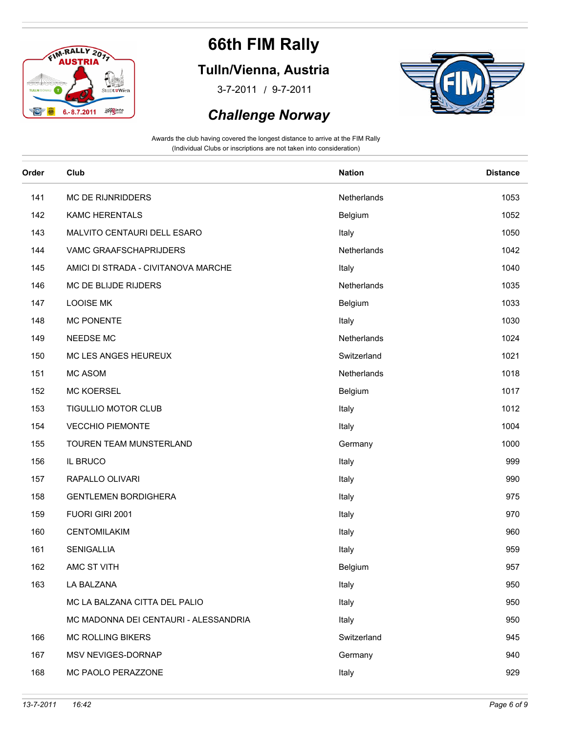

### **Tulln/Vienna, Austria**

/ 3-7-2011 9-7-2011



#### *Challenge Norway*

| Order | Club                                  | <b>Nation</b> | <b>Distance</b> |
|-------|---------------------------------------|---------------|-----------------|
| 141   | MC DE RIJNRIDDERS                     | Netherlands   | 1053            |
| 142   | <b>KAMC HERENTALS</b>                 | Belgium       | 1052            |
| 143   | MALVITO CENTAURI DELL ESARO           | Italy         | 1050            |
| 144   | VAMC GRAAFSCHAPRIJDERS                | Netherlands   | 1042            |
| 145   | AMICI DI STRADA - CIVITANOVA MARCHE   | Italy         | 1040            |
| 146   | MC DE BLIJDE RIJDERS                  | Netherlands   | 1035            |
| 147   | <b>LOOISE MK</b>                      | Belgium       | 1033            |
| 148   | <b>MC PONENTE</b>                     | Italy         | 1030            |
| 149   | NEEDSE MC                             | Netherlands   | 1024            |
| 150   | MC LES ANGES HEUREUX                  | Switzerland   | 1021            |
| 151   | MC ASOM                               | Netherlands   | 1018            |
| 152   | <b>MC KOERSEL</b>                     | Belgium       | 1017            |
| 153   | TIGULLIO MOTOR CLUB                   | Italy         | 1012            |
| 154   | <b>VECCHIO PIEMONTE</b>               | Italy         | 1004            |
| 155   | TOUREN TEAM MUNSTERLAND               | Germany       | 1000            |
| 156   | IL BRUCO                              | Italy         | 999             |
| 157   | RAPALLO OLIVARI                       | Italy         | 990             |
| 158   | <b>GENTLEMEN BORDIGHERA</b>           | Italy         | 975             |
| 159   | FUORI GIRI 2001                       | Italy         | 970             |
| 160   | CENTOMILAKIM                          | Italy         | 960             |
| 161   | SENIGALLIA                            | Italy         | 959             |
| 162   | AMC ST VITH                           | Belgium       | 957             |
| 163   | LA BALZANA                            | Italy         | 950             |
|       | MC LA BALZANA CITTA DEL PALIO         | Italy         | 950             |
|       | MC MADONNA DEI CENTAURI - ALESSANDRIA | Italy         | 950             |
| 166   | <b>MC ROLLING BIKERS</b>              | Switzerland   | 945             |
| 167   | MSV NEVIGES-DORNAP                    | Germany       | 940             |
| 168   | MC PAOLO PERAZZONE                    | Italy         | 929             |
|       |                                       |               |                 |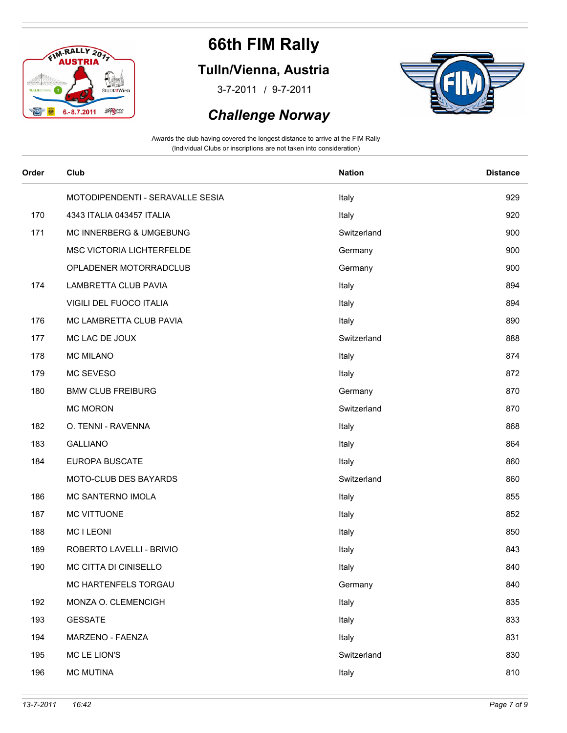

### **Tulln/Vienna, Austria**

/ 3-7-2011 9-7-2011

#### *Challenge Norway*



| Order | Club                             | <b>Nation</b> | <b>Distance</b> |
|-------|----------------------------------|---------------|-----------------|
|       | MOTODIPENDENTI - SERAVALLE SESIA | Italy         | 929             |
| 170   | 4343 ITALIA 043457 ITALIA        | Italy         | 920             |
| 171   | MC INNERBERG & UMGEBUNG          | Switzerland   | 900             |
|       | MSC VICTORIA LICHTERFELDE        | Germany       | 900             |
|       | OPLADENER MOTORRADCLUB           | Germany       | 900             |
| 174   | LAMBRETTA CLUB PAVIA             | Italy         | 894             |
|       | VIGILI DEL FUOCO ITALIA          | Italy         | 894             |
| 176   | MC LAMBRETTA CLUB PAVIA          | Italy         | 890             |
| 177   | MC LAC DE JOUX                   | Switzerland   | 888             |
| 178   | <b>MC MILANO</b>                 | Italy         | 874             |
| 179   | MC SEVESO                        | Italy         | 872             |
| 180   | <b>BMW CLUB FREIBURG</b>         | Germany       | 870             |
|       | <b>MC MORON</b>                  | Switzerland   | 870             |
| 182   | O. TENNI - RAVENNA               | Italy         | 868             |
| 183   | <b>GALLIANO</b>                  | Italy         | 864             |
| 184   | EUROPA BUSCATE                   | Italy         | 860             |
|       | MOTO-CLUB DES BAYARDS            | Switzerland   | 860             |
| 186   | MC SANTERNO IMOLA                | Italy         | 855             |
| 187   | MC VITTUONE                      | Italy         | 852             |
| 188   | <b>MC I LEONI</b>                | Italy         | 850             |
| 189   | ROBERTO LAVELLI - BRIVIO         | Italy         | 843             |
| 190   | MC CITTA DI CINISELLO            | Italy         | 840             |
|       | MC HARTENFELS TORGAU             | Germany       | 840             |
| 192   | MONZA O. CLEMENCIGH              | Italy         | 835             |
| 193   | <b>GESSATE</b>                   | Italy         | 833             |
| 194   | MARZENO - FAENZA                 | Italy         | 831             |
| 195   | MC LE LION'S                     | Switzerland   | 830             |
| 196   | <b>MC MUTINA</b>                 | Italy         | 810             |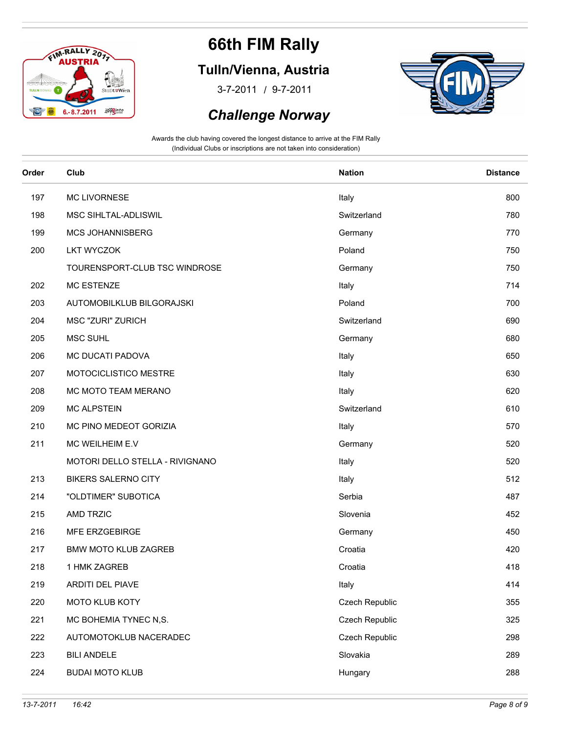

### **Tulln/Vienna, Austria**

/ 3-7-2011 9-7-2011





| Order | Club                            | <b>Nation</b>  | <b>Distance</b> |
|-------|---------------------------------|----------------|-----------------|
| 197   | MC LIVORNESE                    | Italy          | 800             |
| 198   | MSC SIHLTAL-ADLISWIL            | Switzerland    | 780             |
| 199   | MCS JOHANNISBERG                | Germany        | 770             |
| 200   | <b>LKT WYCZOK</b>               | Poland         | 750             |
|       | TOURENSPORT-CLUB TSC WINDROSE   | Germany        | 750             |
| 202   | MC ESTENZE                      | Italy          | 714             |
| 203   | AUTOMOBILKLUB BILGORAJSKI       | Poland         | 700             |
| 204   | MSC "ZURI" ZURICH               | Switzerland    | 690             |
| 205   | <b>MSC SUHL</b>                 | Germany        | 680             |
| 206   | MC DUCATI PADOVA                | Italy          | 650             |
| 207   | MOTOCICLISTICO MESTRE           | Italy          | 630             |
| 208   | MC MOTO TEAM MERANO             | Italy          | 620             |
| 209   | <b>MC ALPSTEIN</b>              | Switzerland    | 610             |
| 210   | MC PINO MEDEOT GORIZIA          | Italy          | 570             |
| 211   | MC WEILHEIM E.V                 | Germany        | 520             |
|       | MOTORI DELLO STELLA - RIVIGNANO | Italy          | 520             |
| 213   | <b>BIKERS SALERNO CITY</b>      | Italy          | 512             |
| 214   | "OLDTIMER" SUBOTICA             | Serbia         | 487             |
| 215   | AMD TRZIC                       | Slovenia       | 452             |
| 216   | MFE ERZGEBIRGE                  | Germany        | 450             |
| 217   | <b>BMW MOTO KLUB ZAGREB</b>     | Croatia        | 420             |
| 218   | 1 HMK ZAGREB                    | Croatia        | 418             |
| 219   | ARDITI DEL PIAVE                | Italy          | 414             |
| 220   | MOTO KLUB KOTY                  | Czech Republic | 355             |
| 221   | MC BOHEMIA TYNEC N,S.           | Czech Republic | 325             |
| 222   | AUTOMOTOKLUB NACERADEC          | Czech Republic | 298             |
| 223   | <b>BILI ANDELE</b>              | Slovakia       | 289             |
| 224   | <b>BUDAI MOTO KLUB</b>          | Hungary        | 288             |
|       |                                 |                |                 |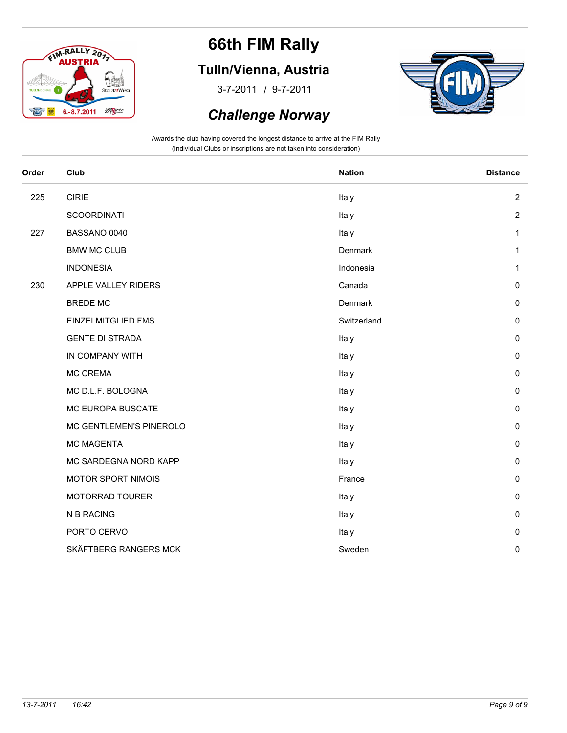

### **Tulln/Vienna, Austria**

/ 3-7-2011 9-7-2011

#### *Challenge Norway*



| Order | Club                      | <b>Nation</b> | <b>Distance</b> |
|-------|---------------------------|---------------|-----------------|
| 225   | <b>CIRIE</b>              | Italy         | $\overline{2}$  |
|       | <b>SCOORDINATI</b>        | Italy         | $\overline{2}$  |
| 227   | BASSANO 0040              | Italy         | 1               |
|       | <b>BMW MC CLUB</b>        | Denmark       | $\mathbf{1}$    |
|       | <b>INDONESIA</b>          | Indonesia     | 1               |
| 230   | APPLE VALLEY RIDERS       | Canada        | 0               |
|       | <b>BREDE MC</b>           | Denmark       | $\pmb{0}$       |
|       | <b>EINZELMITGLIED FMS</b> | Switzerland   | 0               |
|       | <b>GENTE DI STRADA</b>    | Italy         | $\mathsf 0$     |
|       | IN COMPANY WITH           | Italy         | 0               |
|       | <b>MC CREMA</b>           | Italy         | $\pmb{0}$       |
|       | MC D.L.F. BOLOGNA         | Italy         | $\mathsf 0$     |
|       | MC EUROPA BUSCATE         | Italy         | 0               |
|       | MC GENTLEMEN'S PINEROLO   | Italy         | $\mathsf 0$     |
|       | <b>MC MAGENTA</b>         | Italy         | 0               |
|       | MC SARDEGNA NORD KAPP     | Italy         | $\pmb{0}$       |
|       | MOTOR SPORT NIMOIS        | France        | $\mathsf 0$     |
|       | MOTORRAD TOURER           | Italy         | 0               |
|       | N B RACING                | Italy         | $\pmb{0}$       |
|       | PORTO CERVO               | Italy         | 0               |
|       | SKÄFTBERG RANGERS MCK     | Sweden        | 0               |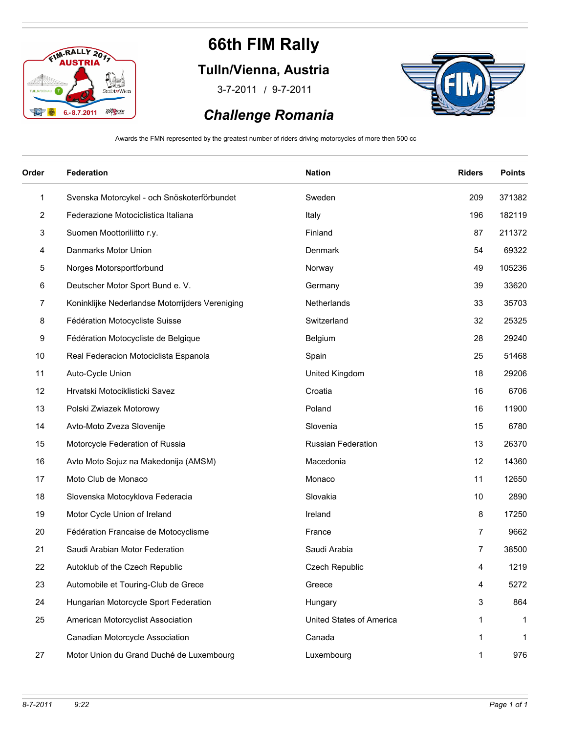

### **Tulln/Vienna, Austria**

/ 3-7-2011 9-7-2011

# *Challenge Romania*



Awards the FMN represented by the greatest number of riders driving motorcycles of more then 500 cc

| Order          | Federation                                      | <b>Nation</b>             | <b>Riders</b>  | <b>Points</b> |
|----------------|-------------------------------------------------|---------------------------|----------------|---------------|
| $\mathbf{1}$   | Svenska Motorcykel - och Snöskoterförbundet     | Sweden                    | 209            | 371382        |
| $\overline{c}$ | Federazione Motociclistica Italiana             | Italy                     | 196            | 182119        |
| 3              | Suomen Moottoriliitto r.y.                      | Finland                   | 87             | 211372        |
| 4              | Danmarks Motor Union                            | Denmark                   | 54             | 69322         |
| 5              | Norges Motorsportforbund                        | Norway                    | 49             | 105236        |
| 6              | Deutscher Motor Sport Bund e. V.                | Germany                   | 39             | 33620         |
| 7              | Koninklijke Nederlandse Motorrijders Vereniging | Netherlands               | 33             | 35703         |
| 8              | Fédération Motocycliste Suisse                  | Switzerland               | 32             | 25325         |
| 9              | Fédération Motocycliste de Belgique             | Belgium                   | 28             | 29240         |
| 10             | Real Federacion Motociclista Espanola           | Spain                     | 25             | 51468         |
| 11             | Auto-Cycle Union                                | United Kingdom            | 18             | 29206         |
| 12             | Hrvatski Motociklisticki Savez                  | Croatia                   | 16             | 6706          |
| 13             | Polski Zwiazek Motorowy                         | Poland                    | 16             | 11900         |
| 14             | Avto-Moto Zveza Slovenije                       | Slovenia                  | 15             | 6780          |
| 15             | Motorcycle Federation of Russia                 | <b>Russian Federation</b> | 13             | 26370         |
| 16             | Avto Moto Sojuz na Makedonija (AMSM)            | Macedonia                 | 12             | 14360         |
| 17             | Moto Club de Monaco                             | Monaco                    | 11             | 12650         |
| 18             | Slovenska Motocyklova Federacia                 | Slovakia                  | 10             | 2890          |
| 19             | Motor Cycle Union of Ireland                    | Ireland                   | 8              | 17250         |
| 20             | Fédération Francaise de Motocyclisme            | France                    | $\overline{7}$ | 9662          |
| 21             | Saudi Arabian Motor Federation                  | Saudi Arabia              | 7              | 38500         |
| 22             | Autoklub of the Czech Republic                  | Czech Republic            | 4              | 1219          |
| 23             | Automobile et Touring-Club de Grece             | Greece                    | 4              | 5272          |
| 24             | Hungarian Motorcycle Sport Federation           | Hungary                   | 3              | 864           |
| 25             | American Motorcyclist Association               | United States of America  | 1              | 1             |
|                | Canadian Motorcycle Association                 | Canada                    | 1              | $\mathbf{1}$  |
| 27             | Motor Union du Grand Duché de Luxembourg        | Luxembourg                | 1              | 976           |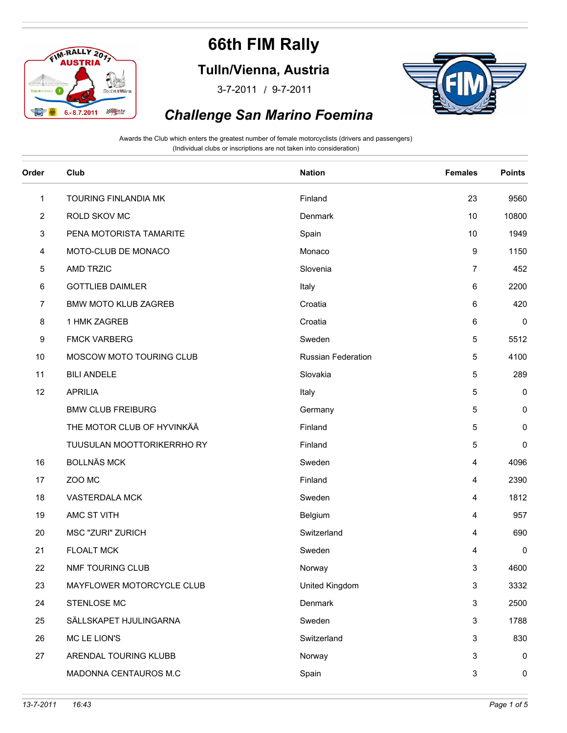

**Tulln/Vienna, Austria**

/ 3-7-2011 9-7-2011



#### *Challenge San Marino Foemina*

| Order        | Club                        | <b>Nation</b>             | <b>Females</b> | <b>Points</b> |
|--------------|-----------------------------|---------------------------|----------------|---------------|
| $\mathbf{1}$ | TOURING FINLANDIA MK        | Finland                   | 23             | 9560          |
| 2            | ROLD SKOV MC                | Denmark                   | 10             | 10800         |
| 3            | PENA MOTORISTA TAMARITE     | Spain                     | 10             | 1949          |
| 4            | MOTO-CLUB DE MONACO         | Monaco                    | 9              | 1150          |
| 5            | AMD TRZIC                   | Slovenia                  | 7              | 452           |
| 6            | <b>GOTTLIEB DAIMLER</b>     | Italy                     | 6              | 2200          |
| 7            | <b>BMW MOTO KLUB ZAGREB</b> | Croatia                   | 6              | 420           |
| 8            | 1 HMK ZAGREB                | Croatia                   | 6              | $\pmb{0}$     |
| 9            | <b>FMCK VARBERG</b>         | Sweden                    | 5              | 5512          |
| 10           | MOSCOW MOTO TOURING CLUB    | <b>Russian Federation</b> | 5              | 4100          |
| 11           | <b>BILI ANDELE</b>          | Slovakia                  | 5              | 289           |
| 12           | <b>APRILIA</b>              | Italy                     | 5              | 0             |
|              | <b>BMW CLUB FREIBURG</b>    | Germany                   | 5              | 0             |
|              | THE MOTOR CLUB OF HYVINKÄÄ  | Finland                   | 5              | 0             |
|              | TUUSULAN MOOTTORIKERRHO RY  | Finland                   | 5              | 0             |
| 16           | <b>BOLLNÄS MCK</b>          | Sweden                    | 4              | 4096          |
| 17           | ZOO MC                      | Finland                   | 4              | 2390          |
| 18           | VASTERDALA MCK              | Sweden                    | 4              | 1812          |
| 19           | AMC ST VITH                 | Belgium                   | 4              | 957           |
| 20           | MSC "ZURI" ZURICH           | Switzerland               | 4              | 690           |
| 21           | <b>FLOALT MCK</b>           | Sweden                    | 4              | $\pmb{0}$     |
| 22           | <b>NMF TOURING CLUB</b>     | Norway                    | 3              | 4600          |
| 23           | MAYFLOWER MOTORCYCLE CLUB   | United Kingdom            | 3              | 3332          |
| 24           | STENLOSE MC                 | Denmark                   | 3              | 2500          |
| 25           | SÄLLSKAPET HJULINGARNA      | Sweden                    | 3              | 1788          |
| 26           | MC LE LION'S                | Switzerland               | 3              | 830           |
| 27           | ARENDAL TOURING KLUBB       | Norway                    | 3              | 0             |
|              | MADONNA CENTAUROS M.C       | Spain                     | 3              | 0             |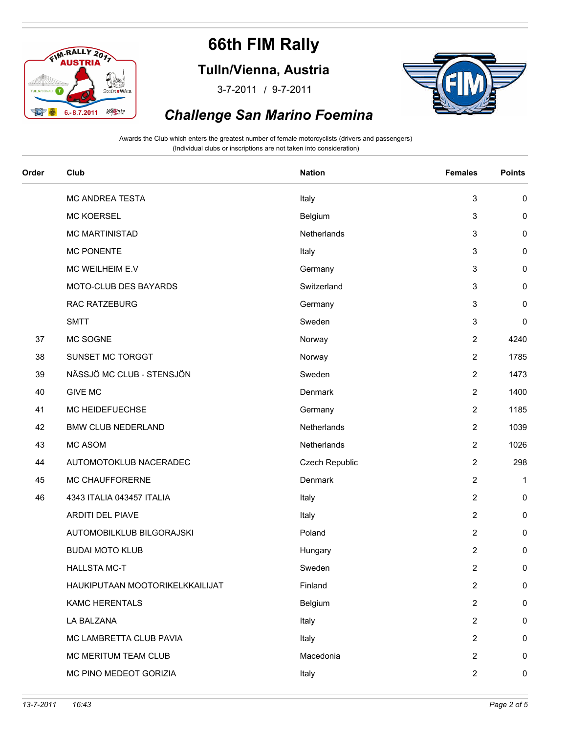

**Tulln/Vienna, Austria**

/ 3-7-2011 9-7-2011



#### *Challenge San Marino Foemina*

| Order | Club                            | <b>Nation</b>  | <b>Females</b> | <b>Points</b> |
|-------|---------------------------------|----------------|----------------|---------------|
|       | MC ANDREA TESTA                 | Italy          | 3              | 0             |
|       | <b>MC KOERSEL</b>               | Belgium        | 3              | $\pmb{0}$     |
|       | <b>MC MARTINISTAD</b>           | Netherlands    | 3              | 0             |
|       | <b>MC PONENTE</b>               | Italy          | 3              | 0             |
|       | MC WEILHEIM E.V                 | Germany        | 3              | $\pmb{0}$     |
|       | MOTO-CLUB DES BAYARDS           | Switzerland    | 3              | 0             |
|       | RAC RATZEBURG                   | Germany        | 3              | $\pmb{0}$     |
|       | <b>SMTT</b>                     | Sweden         | 3              | $\pmb{0}$     |
| 37    | MC SOGNE                        | Norway         | $\overline{2}$ | 4240          |
| 38    | SUNSET MC TORGGT                | Norway         | $\overline{2}$ | 1785          |
| 39    | NÄSSJÖ MC CLUB - STENSJÖN       | Sweden         | $\overline{2}$ | 1473          |
| 40    | <b>GIVE MC</b>                  | Denmark        | $\overline{2}$ | 1400          |
| 41    | MC HEIDEFUECHSE                 | Germany        | $\overline{2}$ | 1185          |
| 42    | <b>BMW CLUB NEDERLAND</b>       | Netherlands    | $\overline{2}$ | 1039          |
| 43    | MC ASOM                         | Netherlands    | $\overline{2}$ | 1026          |
| 44    | AUTOMOTOKLUB NACERADEC          | Czech Republic | $\overline{c}$ | 298           |
| 45    | MC CHAUFFORERNE                 | Denmark        | $\overline{c}$ | $\mathbf 1$   |
| 46    | 4343 ITALIA 043457 ITALIA       | Italy          | $\overline{c}$ | 0             |
|       | ARDITI DEL PIAVE                | Italy          | $\overline{c}$ | 0             |
|       | AUTOMOBILKLUB BILGORAJSKI       | Poland         | $\overline{c}$ | 0             |
|       | <b>BUDAI MOTO KLUB</b>          | Hungary        | $\overline{c}$ | 0             |
|       | <b>HALLSTA MC-T</b>             | Sweden         | $\overline{c}$ | $\pmb{0}$     |
|       | HAUKIPUTAAN MOOTORIKELKKAILIJAT | Finland        | $\overline{c}$ | 0             |
|       | <b>KAMC HERENTALS</b>           | Belgium        | $\overline{c}$ | 0             |
|       | LA BALZANA                      | Italy          | 2              | 0             |
|       | MC LAMBRETTA CLUB PAVIA         | Italy          | $\overline{2}$ | 0             |
|       | MC MERITUM TEAM CLUB            | Macedonia      | $\overline{2}$ | 0             |
|       | MC PINO MEDEOT GORIZIA          | Italy          | $\overline{2}$ | 0             |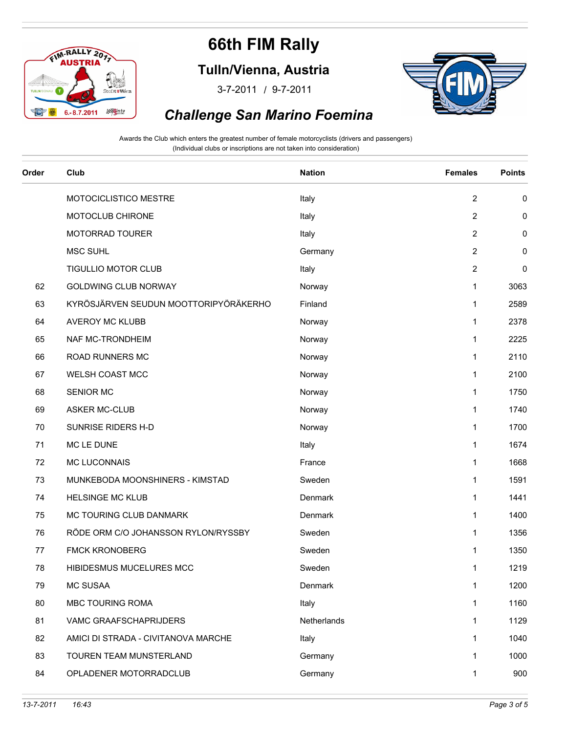

**Tulln/Vienna, Austria**

/ 3-7-2011 9-7-2011



#### *Challenge San Marino Foemina*

| Order | Club                                  | <b>Nation</b> | <b>Females</b> | <b>Points</b> |
|-------|---------------------------------------|---------------|----------------|---------------|
|       | MOTOCICLISTICO MESTRE                 | Italy         | $\overline{2}$ | 0             |
|       | MOTOCLUB CHIRONE                      | Italy         | $\overline{2}$ | 0             |
|       | MOTORRAD TOURER                       | Italy         | $\overline{2}$ | 0             |
|       | <b>MSC SUHL</b>                       | Germany       | $\overline{2}$ | 0             |
|       | TIGULLIO MOTOR CLUB                   | Italy         | $\overline{2}$ | $\pmb{0}$     |
| 62    | <b>GOLDWING CLUB NORWAY</b>           | Norway        | $\mathbf{1}$   | 3063          |
| 63    | KYRÖSJÄRVEN SEUDUN MOOTTORIPYÖRÄKERHO | Finland       | $\mathbf{1}$   | 2589          |
| 64    | AVEROY MC KLUBB                       | Norway        | $\mathbf 1$    | 2378          |
| 65    | NAF MC-TRONDHEIM                      | Norway        | $\mathbf{1}$   | 2225          |
| 66    | ROAD RUNNERS MC                       | Norway        | $\mathbf{1}$   | 2110          |
| 67    | WELSH COAST MCC                       | Norway        | $\mathbf{1}$   | 2100          |
| 68    | <b>SENIOR MC</b>                      | Norway        | 1              | 1750          |
| 69    | ASKER MC-CLUB                         | Norway        | $\mathbf{1}$   | 1740          |
| 70    | SUNRISE RIDERS H-D                    | Norway        | 1              | 1700          |
| 71    | MC LE DUNE                            | Italy         | $\mathbf{1}$   | 1674          |
| 72    | <b>MC LUCONNAIS</b>                   | France        | $\mathbf{1}$   | 1668          |
| 73    | MUNKEBODA MOONSHINERS - KIMSTAD       | Sweden        | 1              | 1591          |
| 74    | <b>HELSINGE MC KLUB</b>               | Denmark       | 1              | 1441          |
| 75    | MC TOURING CLUB DANMARK               | Denmark       | 1              | 1400          |
| 76    | RÖDE ORM C/O JOHANSSON RYLON/RYSSBY   | Sweden        | $\mathbf 1$    | 1356          |
| 77    | <b>FMCK KRONOBERG</b>                 | Sweden        | 1              | 1350          |
| 78    | HIBIDESMUS MUCELURES MCC              | Sweden        | 1              | 1219          |
| 79    | <b>MC SUSAA</b>                       | Denmark       | $\mathbf{1}$   | 1200          |
| 80    | MBC TOURING ROMA                      | Italy         | 1              | 1160          |
| 81    | VAMC GRAAFSCHAPRIJDERS                | Netherlands   | $\mathbf{1}$   | 1129          |
| 82    | AMICI DI STRADA - CIVITANOVA MARCHE   | Italy         | $\mathbf 1$    | 1040          |
| 83    | TOUREN TEAM MUNSTERLAND               | Germany       | $\mathbf{1}$   | 1000          |
| 84    | OPLADENER MOTORRADCLUB                | Germany       | $\mathbf{1}$   | 900           |
|       |                                       |               |                |               |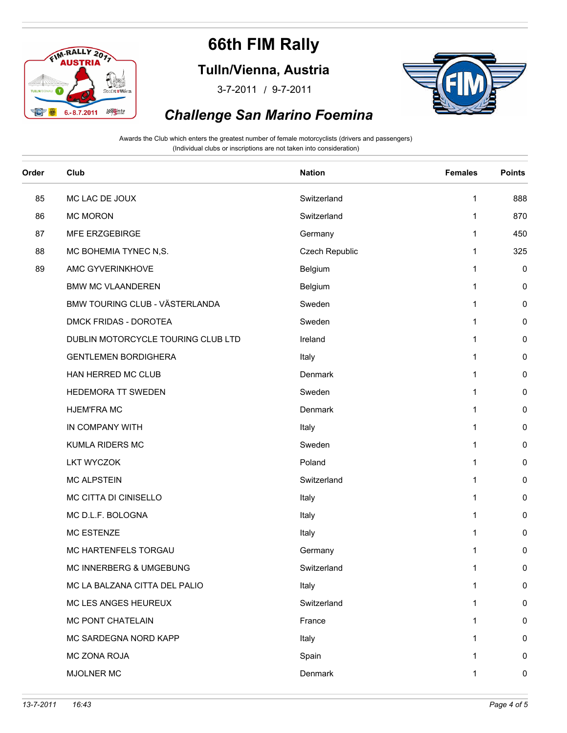

**Tulln/Vienna, Austria**

/ 3-7-2011 9-7-2011



#### *Challenge San Marino Foemina*

| Order | Club                               | <b>Nation</b>  | <b>Females</b> | <b>Points</b> |
|-------|------------------------------------|----------------|----------------|---------------|
| 85    | MC LAC DE JOUX                     | Switzerland    | 1              | 888           |
| 86    | <b>MC MORON</b>                    | Switzerland    | $\mathbf{1}$   | 870           |
| 87    | MFE ERZGEBIRGE                     | Germany        | 1              | 450           |
| 88    | MC BOHEMIA TYNEC N,S.              | Czech Republic | 1              | 325           |
| 89    | AMC GYVERINKHOVE                   | Belgium        | $\mathbf{1}$   | 0             |
|       | <b>BMW MC VLAANDEREN</b>           | Belgium        | 1              | 0             |
|       | BMW TOURING CLUB - VÄSTERLANDA     | Sweden         | 1              | 0             |
|       | DMCK FRIDAS - DOROTEA              | Sweden         | 1              | 0             |
|       | DUBLIN MOTORCYCLE TOURING CLUB LTD | Ireland        | 1              | 0             |
|       | <b>GENTLEMEN BORDIGHERA</b>        | Italy          | 1              | 0             |
|       | HAN HERRED MC CLUB                 | Denmark        | $\mathbf{1}$   | 0             |
|       | HEDEMORA TT SWEDEN                 | Sweden         | 1              | 0             |
|       | <b>HJEM'FRA MC</b>                 | Denmark        | 1              | 0             |
|       | IN COMPANY WITH                    | Italy          | 1              | 0             |
|       | KUMLA RIDERS MC                    | Sweden         | 1              | 0             |
|       | <b>LKT WYCZOK</b>                  | Poland         | 1              | 0             |
|       | <b>MC ALPSTEIN</b>                 | Switzerland    | $\mathbf{1}$   | 0             |
|       | MC CITTA DI CINISELLO              | Italy          | 1              | 0             |
|       | MC D.L.F. BOLOGNA                  | Italy          | $\mathbf{1}$   | 0             |
|       | <b>MC ESTENZE</b>                  | Italy          | 1              | 0             |
|       | MC HARTENFELS TORGAU               | Germany        | 1              | 0             |
|       | MC INNERBERG & UMGEBUNG            | Switzerland    | 1              | $\pmb{0}$     |
|       | MC LA BALZANA CITTA DEL PALIO      | Italy          | $\mathbf{1}$   | 0             |
|       | MC LES ANGES HEUREUX               | Switzerland    | 1              | 0             |
|       | MC PONT CHATELAIN                  | France         | 1              | 0             |
|       | MC SARDEGNA NORD KAPP              | Italy          | 1              | 0             |
|       | MC ZONA ROJA                       | Spain          | 1              | 0             |
|       | MJOLNER MC                         | Denmark        | 1              | 0             |